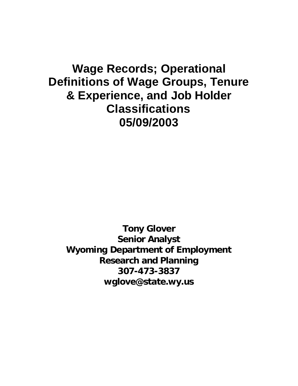# **Wage Records; Operational Definitions of Wage Groups, Tenure & Experience, and Job Holder Classifications 05/09/2003**

**Tony Glover Senior Analyst Wyoming Department of Employment Research and Planning 307-473-3837 wglove@state.wy.us**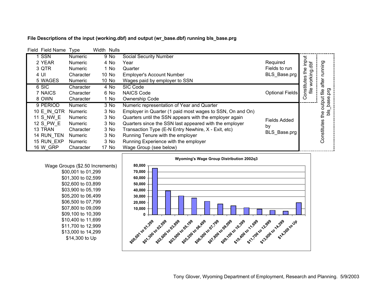| Field Field Name | Type           | Width Nulls |        |                                                           |                     |                              |               |
|------------------|----------------|-------------|--------|-----------------------------------------------------------|---------------------|------------------------------|---------------|
| SSN              | Numeric        |             | 9 No   | <b>Social Security Number</b>                             |                     |                              |               |
| 2 YEAR           | <b>Numeric</b> |             | 4 No   | Year                                                      | Required            | input                        |               |
| 3 QTR            | <b>Numeric</b> |             | 1 No   | Quarter                                                   | Fields to run       | the                          | unning        |
| 4 UI             | Character      |             | 10 No  | <b>Employer's Account Number</b>                          | BLS_Base.prg        |                              |               |
| 5 WAGES          | <b>Numeric</b> |             | 10 No  | Wages paid by employer to SSN                             |                     | working.dbf                  | after         |
| 6 SIC            | Character      |             | 4 No   | SIC Code                                                  |                     | Constitutes                  |               |
| 7 NAICS          | Character      |             | 6 No   | <b>NAICS Code</b>                                         | Optional Fields     | $\stackrel{\bullet}{\equiv}$ | prg<br>€⊫     |
| 8 OWN            | Character      |             | 1 No   | <b>Ownership Code</b>                                     |                     |                              | Φ             |
| 9 PERIOD         | <b>Numeric</b> |             | $3$ No | Numeric representation of Year and Quarter                |                     |                              | output<br>bas |
| 10 E IN QTR      | <b>Numeric</b> |             | 3 No   | Employer in Quarter (1 paid most wages to SSN, On and On) |                     |                              | sig           |
| <b>11 S NW E</b> | <b>Numeric</b> |             | 3 No   | Quarters until the SSN appears with the employer again    | <b>Fields Added</b> |                              | eq.           |
| 12 S_PW E        | <b>Numeric</b> |             | 3 No   | Quarters since the SSN last appeared with the employer    | by                  |                              | Constitutes   |
| 13 TRAN          | Character      |             | 3 No   | Transaction Type (E-N Entry Newhire, X - Exit, etc)       | BLS Base.prg        |                              |               |
| 14 RUN TEN       | <b>Numeric</b> |             | 3 No   | Running Tenure with the employer                          |                     |                              |               |
| 15 RUN EXP       | <b>Numeric</b> |             | 3 No   | Running Experience with the employer                      |                     |                              |               |
| <b>16 W GRP</b>  | Character      |             | 17 No  | Wage Group (see below)                                    |                     |                              |               |

### **File Descriptions of the input (working.dbf) and output (wr\_base.dbf) running bls\_base.prg**



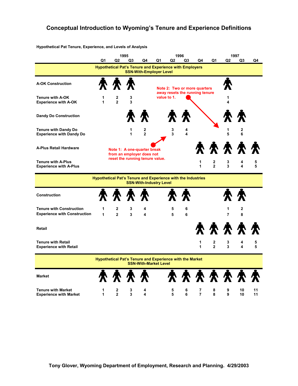## **Conceptual Introduction to Wyoming's Tenure and Experience Definitions**

**Hypothetical Pat Tenure, Experience, and Levels of Analysis** 

|                                                                        |                                                                     |                                | 1995                |                                                                                                  |    |                | 1996                         |                                                                |                     |                     | 1997              |          |
|------------------------------------------------------------------------|---------------------------------------------------------------------|--------------------------------|---------------------|--------------------------------------------------------------------------------------------------|----|----------------|------------------------------|----------------------------------------------------------------|---------------------|---------------------|-------------------|----------|
|                                                                        | Q1                                                                  | Q2                             | Q3                  | Q4                                                                                               | Q1 | Q <sub>2</sub> | Q <sub>3</sub>               | Q4                                                             | Q1                  | Q <sub>2</sub>      | Q <sub>3</sub>    | Q4       |
|                                                                        |                                                                     |                                |                     | <b>Hypothetical Pat's Tenure and Experience with Employers</b><br><b>SSN-With-Employer Level</b> |    |                |                              |                                                                |                     |                     |                   |          |
| <b>A-OK Construction</b>                                               |                                                                     | <b>穴 穴 穴</b>                   |                     |                                                                                                  |    |                |                              | Note 2: Two or more quarters<br>away resets the running tenure |                     |                     |                   |          |
| <b>Tenure with A-OK</b><br><b>Experience with A-OK</b>                 | 1<br>1                                                              | $\mathbf{2}$<br>$\overline{2}$ | 3<br>3              |                                                                                                  |    | value to 1.    |                              |                                                                |                     | 1<br>4              |                   |          |
| <b>Dandy Do Construction</b>                                           |                                                                     |                                |                     |                                                                                                  |    |                |                              |                                                                |                     |                     |                   |          |
| <b>Tenure with Dandy Do</b><br><b>Experience with Dandy Do</b>         |                                                                     |                                | 1<br>1              | 2<br>$\overline{2}$                                                                              |    | 3<br>3         | 4<br>$\overline{\mathbf{4}}$ |                                                                |                     | 1<br>5              | 2<br>6            |          |
| <b>A-Plus Retail Hardware</b>                                          |                                                                     |                                |                     | Note 1: A one-quarter break<br>from an employer does not                                         |    |                |                              |                                                                | 索索索索索               |                     |                   |          |
| <b>Tenure with A-Plus</b><br><b>Experience with A-Plus</b>             |                                                                     |                                |                     | reset the running tenure value.                                                                  |    |                |                              | 1<br>$\mathbf{1}$                                              | 2<br>$\mathfrak{p}$ | 3<br>3              | 4<br>4            | 5<br>5   |
|                                                                        | <b>Hypothetical Pat's Tenure and Experience with the Industries</b> |                                |                     | <b>SSN-With-Industry Level</b>                                                                   |    |                |                              |                                                                |                     |                     |                   |          |
| <b>Construction</b>                                                    |                                                                     | 索索索                            |                     |                                                                                                  |    |                |                              |                                                                |                     |                     |                   |          |
| <b>Tenure with Construction</b><br><b>Experience with Construction</b> | 1<br>1                                                              | $\mathbf{2}$<br>$\overline{2}$ | 3<br>$\overline{3}$ | 4<br>4                                                                                           |    | 5<br>5         | 6<br>6                       |                                                                |                     | 1<br>$\overline{7}$ | $\mathbf{2}$<br>8 |          |
| Retail                                                                 |                                                                     |                                |                     |                                                                                                  |    |                |                              |                                                                | 索索索索                |                     |                   |          |
| <b>Tenure with Retail</b><br><b>Experience with Retail</b>             |                                                                     |                                |                     |                                                                                                  |    |                |                              | 1<br>1                                                         | 2<br>$\mathbf{2}$   | 3<br>3              | 4<br>4            | 5<br>5   |
|                                                                        |                                                                     |                                |                     | <b>Hypothetical Pat's Tenure and Experience with the Market</b><br><b>SSN-With-Market Level</b>  |    |                |                              |                                                                |                     |                     |                   |          |
| <b>Market</b>                                                          |                                                                     | 索索索索                           |                     |                                                                                                  |    |                |                              |                                                                | <b>秦 秦 秦 秦 秦 秦</b>  |                     |                   |          |
| <b>Tenure with Market</b><br><b>Experience with Market</b>             | 1<br>1                                                              | 2<br>$\overline{2}$            | 3<br>3              | 4<br>4                                                                                           |    | 5<br>5         | 6<br>6                       | 7<br>$\overline{7}$                                            | 8<br>8              | 9<br>9              | 10<br>10          | 11<br>11 |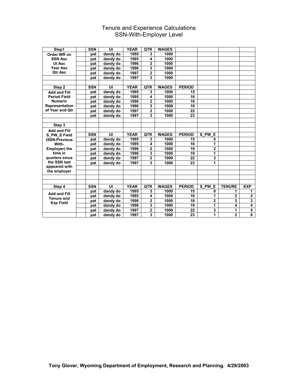## Tenure and Experience Calculations SSN-With-Employer Level

| Step1               | <b>SSN</b> | UI       | <b>YEAR</b> | <b>QTR</b>              | <b>WAGES</b> |               |                |                |                         |
|---------------------|------------|----------|-------------|-------------------------|--------------|---------------|----------------|----------------|-------------------------|
| Order WR on         | pat        | dandy do | 1995        | 3                       | 1000         |               |                |                |                         |
| <b>SSN Asc</b>      | pat        | dandy do | 1995        | 4                       | 1000         |               |                |                |                         |
| UI Asc              | pat        | dandy do | 1996        | 2                       | 1000         |               |                |                |                         |
| Year Asc            | pat        | dandy do | 1996        | 3                       | 1000         |               |                |                |                         |
| <b>Qtr Asc</b>      | pat        | dandy do | 1997        | $\overline{2}$          | 1000         |               |                |                |                         |
|                     | pat        | dandy do | 1997        | 3                       | 1000         |               |                |                |                         |
|                     |            |          |             |                         |              |               |                |                |                         |
| Step 2              | <b>SSN</b> | UI       | <b>YEAR</b> | <b>QTR</b>              | <b>WAGES</b> | <b>PERIOD</b> |                |                |                         |
| <b>Add and Fill</b> | pat        | dandy do | 1995        | 3                       | 1000         | 15            |                |                |                         |
| <b>Period Field</b> | pat        | dandy do | 1995        | $\overline{\mathbf{4}}$ | 1000         | 16            |                |                |                         |
| <b>Numeric</b>      | pat        | dandy do | 1996        | 2                       | 1000         | 18            |                |                |                         |
| Representation      | pat        | dandy do | 1996        | $\overline{\mathbf{3}}$ | 1000         | 19            |                |                |                         |
| of Year and Qtr     | pat        | dandy do | 1997        | $\overline{\mathbf{2}}$ | 1000         | 22            |                |                |                         |
|                     | pat        | dandy do | 1997        | $\overline{\mathbf{3}}$ | 1000         | 23            |                |                |                         |
|                     |            |          |             |                         |              |               |                |                |                         |
| Step 3              |            |          |             |                         |              |               |                |                |                         |
| <b>Add and Fill</b> |            |          |             |                         |              |               |                |                |                         |
| S PW E Field        | <b>SSN</b> | UI       | <b>YEAR</b> | <b>QTR</b>              | <b>WAGES</b> | <b>PERIOD</b> | S PW E         |                |                         |
| (SSN-Previous       | pat        | dandy do | 1995        | 3                       | 1000         | 15            | 0              |                |                         |
| With-               | pat        | dandy do | 1995        | 4                       | 1000         | 16            | 1              |                |                         |
| Employer) the       | pat        | dandy do | 1996        | $\overline{2}$          | 1000         | 18            | $\overline{2}$ |                |                         |
| time in             | pat        | dandy do | 1996        | $\overline{3}$          | 1000         | 19            | 1              |                |                         |
| quarters since      | pat        | dandy do | 1997        | $\mathbf{2}$            | 1000         | 22            | 3              |                |                         |
| the SSN last        | pat        | dandy do | 1997        | 3                       | 1000         | 23            | 1              |                |                         |
| appeared with       |            |          |             |                         |              |               |                |                |                         |
| the employer        |            |          |             |                         |              |               |                |                |                         |
|                     |            |          |             |                         |              |               |                |                |                         |
|                     |            |          |             |                         |              |               |                |                |                         |
| Step 4              | <b>SSN</b> | UI       | <b>YEAR</b> | <b>QTR</b>              | <b>WAGES</b> | <b>PERIOD</b> | S PW E         | <b>TENURE</b>  | <b>EXP</b>              |
| <b>Add and Fill</b> | pat        | dandy do | 1995        | 3                       | 1000         | 15            | 0              | 1              | 1                       |
| <b>Tenure and</b>   | pat        | dandy do | 1995        | 4                       | 1000         | 16            | 1              | $\overline{2}$ | $\overline{2}$          |
| <b>Exp Field</b>    | pat        | dandy do | 1996        | $\overline{2}$          | 1000         | 18            | $\overline{2}$ | 3              | $\overline{\mathbf{3}}$ |
|                     | pat        | dandy do | 1996        | 3                       | 1000         | 19            | 1              | 4              | 4                       |
|                     | pat        | dandy do | 1997        | $\mathbf 2$             | 1000         | 22            | 3              | 1              | $\overline{\mathbf{5}}$ |
|                     | pat        | dandy do | 1997        | 3                       | 1000         | 23            | 1              | $\mathbf{2}$   | $\overline{6}$          |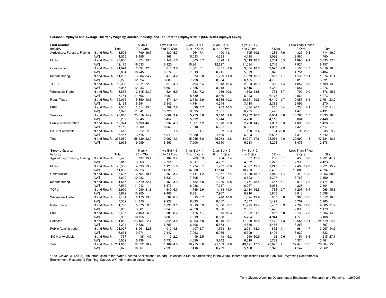**Persons Employed and Average Quarterly Wage by Quarter, Industry, and Tenure with Employer 2002 (SSN-With-Employer Level).**

| <b>First Quarter</b>           |                             |        | $5 yrs +$             | 4 yrs But $< 5$     | 3 yrs But $<$ 4     | 2 yrs But $<$ 3     | 1 yr But $<$ 2       |                     | Less Than 1 Year     |                      |
|--------------------------------|-----------------------------|--------|-----------------------|---------------------|---------------------|---------------------|----------------------|---------------------|----------------------|----------------------|
| Industry                       |                             | Total  | $20 + Q$ trs.         | 16 to 19 Qtrs.      | 12 to 15 Qtrs.      | 8 to 11 Qtrs.       | 4 to 7 Qtrs.         | 3 Qtrs.             | 2 Qtrs.              | 1 Qtrs.              |
| Agriculture, Forestry, Fishing | N and Row %                 | 3,591  | 709 19.7              | 189 5.3             | 264 7.4             | 400 11.1            | 705 19.6             | 285 7.9             | 325 9.1              | 714 19.9             |
|                                | AW\$                        | 4,055  | 6,455                 | 4,866               | 5,013               | 4,583               | 4,138                | 3,086               | 2,560                | 1,790                |
| Mining                         | N and Row %                 | 20,836 | 4,874 23.4            | 1,147 5.5           | 1,803 8.7           | 1,898<br>9.1        | 3,819 18.3           | 1,764 8.5           | 1,898 9.1            | 3,633 17.4           |
|                                | AW\$                        | 12,175 | 16,533                | 16,120              | 15,261              | 12,527              | 11,034               | 8,746               | 7,921                | 8,457                |
| Construction                   | N and Row %                 | 21,094 | 2,691 12.8            | 811 3.8             | 1,081 5.1           | 1,885<br>8.9        | 3,804 18.0           | 2,097 9.9           | 3,106 14.7           | 5,619 26.6           |
|                                | AW\$                        | 5,804  | 10,245                | 8,574               | 7,313               | 6,915               | 5,899                | 5,078               | 4,751                | 3,404                |
| Manufacturing                  | N and Row %                 | 11,205 | 3,884 34.7            | 473 4.2             | 673 6.0             | 1,229 11.0          | 1,679 15.0           | 858 7.7             | 1,135 10.1           | 1,274 11.4           |
|                                | AW\$                        | 8,275  | 12,824                | 8,680               | 7,728               | 8,334               | 6,165                | 4,785               | 3,818                | 3,591                |
| <b>TCPU</b>                    | N and Row %                 | 12,399 | 3,971 32.0            | 613 4.9             | 793 6.4             | 1,318 10.6          | 2,023 16.3           | 920 7.4             | 1,052 8.5            | 1,709 13.8           |
|                                | AW\$                        | 8,045  | 12,033                | 8,651               | 7,885               | 8,018               | 6,515                | 5,362               | 4,687                | 3.976                |
| <b>Wholesale Trade</b>         | N and Row %                 | 8,836  | 2,115 23.9            | 524 5.9             | 633 7.2             | 956 10.8            | 1,662 18.8           | 771 8.7             | 799 9.0              | 1,376 15.6           |
|                                | AW\$                        | 7,751  | 11,506                | 9,063               | 8,639               | 8,436               | 6,993                | 6,173               | 4,864                | 4,073                |
| <b>Retail Trade</b>            | N and Row %                 | 55,035 | 5,850 10.6            | 1,874 3.4           | 2,718 4.9           | 5,585 10.2          | 10,751 19.5          | 6,449 11.7          | 9,057 16.5           | 12,751 23.2          |
|                                | AW\$                        | 3,131  | 6,954                 | 5,845               | 4,744               | 4,244               | 3,118                | 2,383               | 2,099                | 1,270                |
| <b>FIRE</b>                    | N and Row %                 | 9,040  | 2,314 25.6            | 709 7.8             | 699 7.7             | 932 10.3            | 1,884 20.8           | 755 8.4             | 730 8.1              | 1,017 11.3           |
|                                | AW\$                        | 7,920  | 11,541                | 10,720              | 9,595               | 7,351               | 6,235                | 5,496               | 4,475                | 4,491                |
| Services                       | N and Row %                 | 93,666 | 23,319 24.9           | 3,689 3.9           | 5,253 5.6           | 9,170 9.8           | 15,752 16.8          | 8,064 8.6           | 10,786 11.5          | 17,633 18.8          |
|                                | AW\$                        | 5,282  | 8,645                 | 6,452               | 5,992               | 5,944               | 4,706                | 4,116               | 3,064                | 2,440                |
| <b>Public Administration</b>   | N and Row %                 | 18,974 | 8,790 46.3            | 932 4.9             | 1,361 7.2           | 1,678 8.8           | 2,780 14.7           | 1,007 5.3           | 1,006 5.3            | 1,420 7.5            |
|                                | AW\$                        | 7,150  | 9,209                 | 6,952               | 7,310               | 6,291               | 5,291                | 4,925               | 4,329                | 2,617                |
| SIC Not Available              | N and Row %                 | 413    | 12 2.9                | 6 1.5               | 7.1.7               | 22 5.3              | 138 33.4             | 94 22.8             | 96 23.2              | 38 9.2               |
|                                | AW\$                        | 6,447  | 3,515                 | 4,949               | 4,980               | 4,599               | 6,923                | 6,528               | 7,312                | 4,842                |
| Total                          | N and Row % 255,089         |        | 58,529 22.9           | 10,967 4.3          | 15,285 6.0          | 25,073 9.8          | 44,997 17.6          | 23,064 9.0          | 29,990 11.8          | 47,184 18.5          |
|                                | AW\$                        | 5,993  | 9,989                 | 8,150               | 7,506               | 6,510               | 5,283                | 4,294               | 3,473                | 2,878                |
|                                |                             |        |                       |                     |                     |                     |                      |                     |                      |                      |
|                                |                             |        |                       |                     |                     |                     |                      |                     |                      |                      |
| <b>Second Quarter</b>          |                             |        | $5$ yrs $+$           | 4 yrs But $< 5$     | 3 yrs But $<$ 4     | 2 yrs But $<$ 3     | 1 yr But $<$ 2       |                     | Less Than 1 Year     |                      |
| Industry                       |                             | Total  | $20 + Q$ trs.         | 16 to 19 Qtrs.      | 12 to 15 Qtrs.      | 8 to 11 Qtrs.       | 4 to 7 Qtrs.         | 3 Qtrs.             | 2 Qtrs.              | 1 Qtrs.              |
| Agriculture, Forestry, Fishing | N and Row %                 | 5,495  | 737 13.4              | 189 3.4             | 289 5.3             | 404 7.4             | 867 15.8             | 280 5.1             | 438 8.0              | 2,291 41.7           |
|                                | AW\$                        | 3,818  | 6,963                 | 5,751               | 5,317               | 4,762               | 4,092                | 3,273               | 2,936                | 2,423                |
| Mining                         | N and Row %                 | 20,508 | 4,893 23.9            | 1,120 5.5           | 1,774 8.7           | 1,762<br>8.6        | 4,027 19.6           | 1,243 6.1           | 2,468 12.0           | 3,221 15.7           |
|                                | AW\$                        | 11,062 | 15,053                | 14,630              | 14,080              | 11,144              | 10,233               | 8,432               | 10,809               | 4,294                |
| Construction                   | N and Row %                 | 26,597 | 2,764 10.4            | 853 3.2             | 1,111 4.2           | 1,957 7.4           | 4,238 15.9           | 1,970 7.4           | 3,448 13.0           | 10,256 38.6          |
|                                | AW\$                        | 5,600  | 10,083                | 8,630               | 7,805               | 7,403               | 6,523                | 5,397               | 5,768                | 3,159                |
| Manufacturing                  | N and Row %                 | 11,557 | 3,779 32.7            | 450 3.9             | 782 6.8             | 1,130 9.8           | 1,774 15.4           | 657 5.7             | 811 7.0              | 2,174 18.8           |
|                                | AW\$                        | 7,559  | 11,913                | 8,576               | 8,986               | 7,217               | 6,267                | 5,031               | 4,228                | 2,504                |
| <b>TCPU</b>                    | N and Row %                 | 12,900 | 4,040 31.3            | 640 5.0             | 759 5.9             | 1,418 11.0          | 2,134 16.5           | 734 5.7             | 1,207 9.4            | 1,968 15.3           |
|                                | AW\$                        | 8,679  | 13,900                | 9,485               | 8,891               | 7,967               | 6,710                | 5,803               | 5,813                | 3,098                |
| <b>Wholesale Trade</b>         | N and Row %                 | 9,184  | 2,115 23.0            | 587 6.4             | 613 6.7             | 970 10.6            | 1,824 19.9           | 603 6.6             | 960 10.5             | 1,512 16.5           |
|                                | AW\$                        | 7,502  | 11,415                | 9,227               | 8,393               | 8,167               | 7,077                | 5,499               | 5,767                | 2,983                |
| <b>Retail Trade</b>            | N and Row %                 | 61,706 | 5,875 9.5             | 1,895 3.1           | 3,613 5.9           | 5,366<br>8.7        | 11,995 19.4          | 5,487<br>8.9        | 7,790 12.6           | 19,685 31.9          |
|                                | AW\$                        | 2,859  | 6,861                 | 5,340               | 4,920               | 3,830               | 2,901                | 2,420               | 2,098                | 1,179                |
| <b>FIRE</b>                    | N and Row %                 | 9,436  | 2,469 26.2            | 581 6.2             | 725 7.7             | 975 10.3            | 1,992 21.1           | 565 6.0             | 733 7.8              | 1,396 14.8           |
|                                | AW\$                        | 6,993  | 10,755                | 8,808               | 7,919               | 6,558               | 5,794                | 4,944               | 4,779                | 3,108                |
| Services                       | N and Row % 101,868         |        | 23,154 22.7           | 3,845 3.8           | 5,863 5.8           | 9,310 9.1           | 17,089 16.8          | 7,472 7.3           | 10,556 10.4          | 24,579 24.1          |
|                                | AW\$                        | 5,204  | 9,836                 | 6,756               | 6,496               | 5,873               | 4,636                | 3,466               | 3,253                | 1,797                |
| <b>Public Administration</b>   | N and Row %                 | 21,027 | 8,991 42.8            | 1,012 4.8           | 1,407 6.7           | 1,763 8.4           | 2,941 14.0           | 862 4.1             | 984 4.7              | 3,067 14.6           |
|                                | AW\$                        | 6,631  | 9,274                 | 7,147               | 7,063               | 5,985               | 5,309                | 4,496               | 3,929                | 1,623                |
| SIC Not Available              | N and Row %                 | 777    | 35 4.5                | 17 2.2              | 19 2.5              | 48<br>6.2           | 240 30.9             | 152 19.6            | 51<br>6.6            | 215 27.7             |
|                                | AW\$                        | 5,032  | 5,438                 | 5,732               | 4,699               | 5,842               | 6,518                | 5,731               | 4,374                | 2,761                |
| Total                          | N and Row % 281,055<br>AW\$ | 5,625  | 58,852 20.9<br>10,367 | 11,189 4.0<br>7,930 | 16,955 6.0<br>7,416 | 25,103 8.9<br>6,209 | 49,121 17.5<br>5,160 | 20,025 7.1<br>3,976 | 29,446 10.5<br>4,147 | 70,364 25.0<br>2,062 |

\*See Glover, W. (2003), "An Introduction to the Wage Records Applications." (in pdf) Released to States participating in the Wage Records Application Project. Feb 2003, Wyoming Department of Employment, Research & Planning, Casper, WY. for methodological notes.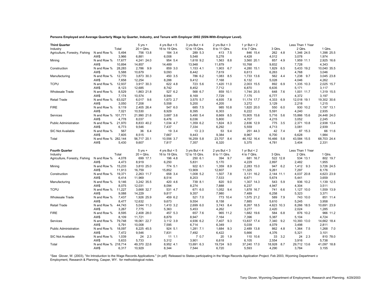**Persons Employed and Average Quarterly Wage by Quarter, Industry, and Tenure with Employer 2002 (SSN-With-Employer Level).**

| <b>Third Quarter</b>           |                     |                 | $5 yrs +$            | 4 yrs But $< 5$  | 3 yrs But $<$ 4  | 2 yrs But $<$ 3    | 1 yr But $<$ 2      |                     | Less Than 1 Year  |                      |
|--------------------------------|---------------------|-----------------|----------------------|------------------|------------------|--------------------|---------------------|---------------------|-------------------|----------------------|
| Industry                       |                     | Total           | $20 + Q$ trs.        | 16 to 19 Qtrs.   | 12 to 15 Qtrs.   | 8 to 11 Qtrs.      | 4 to 7 Qtrs.        | 3 Qtrs.             | 2 Qtrs.           | 1 Qtrs.              |
| Agriculture, Forestry, Fishing | N and Row %         | 5,494           | 756 13.8             | 184 3.4          | 289 5.3          | 413 7.5            | 846 15.4            | 262 4.8             | 1,346 24.5        | 1,398 25.5           |
|                                | AW\$                | 3,966           | 6,881                | 6,008            | 5,548            | 5,278              | 4,428               | 4,012               | 3,078             | 1,974                |
| Mining                         | N and Row %         | 17,677          | 4,241 24.0           | 954 5.4          | 1,618 9.2        | 1,563<br>8.8       | 3,560 20.1          | 857 4.9             | 1,959 11.1        | 2,925 16.6           |
|                                | AW\$                | 10,894          | 14,857               | 14,489           | 13,948           | 11,879             | 10,768              | 9,832               | 7,728             | 4,343                |
| Construction                   | N and Row %         | 28,283          | 2,786 9.9            | 859 3.0          | 1,153 4.1        | 1,903<br>6.7       | 4,280 15.1          | 1,829 6.5           | 5,433 19.2        | 10,040 35.5          |
|                                | AW\$                | 5,588           | 10,679               | 9,093            | 8,442            | 7,619              | 6,613               | 6,263               | 4,768             | 3,046                |
| Manufacturing                  | N and Row %         | 12,770          | 3,873 30.3           | 450 3.5          | 786 6.2          | 1,083 8.5          | 1,733 13.6          | 562 4.4             | 1,238 9.7         | 3,045 23.8           |
|                                | AW\$                | 7,658           | 12,254               | 8,288            | 9,412            | 7,168              | 6,132               | 5,028               | 4,046             | 4,262                |
| <b>TCPU</b>                    | N and Row %         | 12,937          | 3,917 30.3           | 622 4.8          | 723 5.6          | 1,420 11.0         | 2,003 15.5          | 892 6.9             | 1,335 10.3        | 2,025 15.7           |
|                                | AW\$                | 8,123           | 12,685               | 8,742            | 8,452            | 7,712              | 6.870               | 6,635               | 5,171             | 3.117                |
| <b>Wholesale Trade</b>         | N and Row %         | 8,529           | 1,863 21.8           | 527 6.2          | 568 6.7          | 859 10.1           | 1,744 20.5          | 648 7.6             | 1,001 11.7        | 1,319 15.5           |
|                                | AW\$                | 7,174           | 10,574               | 8,944            | 8,169            | 7,729              | 7,175               | 6,777               | 4,372             | 3,197                |
| <b>Retail Trade</b>            | N and Row %         | 63,027          | 6,017 9.6            | 1,673 2.7        | 3,575 5.7        | 4,935<br>7.8       | 11,174 17.7         | 4,333<br>6.9        | 12,018 19.1       | 19,302 30.6          |
|                                | AW\$                | 3,050           | 7,208                | 5,558            | 5,200            | 4,205              | 3,272               | 3,129               | 2,218             | 1,215                |
| <b>FIRE</b>                    | N and Row %         | 9,119           | 2,405 26.4           | 547 6.0          | 685 7.5          | 985 10.8           | 1,820 20.0          | 550<br>6.0          | 930 10.2          | 1,197 13.1           |
|                                | AW\$                | 7,021           | 10,530               | 8,929            | 8,395            | 6,303              | 6,222               | 5,591               | 4,240             | 2,935                |
| Services                       | N and Row % 101,771 |                 | 21,990 21.6          | 3,687 3.6        | 5,490 5.4        | 8,669 8.5          | 15,905 15.6         | 5,716 5.6           | 15,866 15.6       | 24,448 24.0          |
|                                | AW\$                | 4,778           | 8,037                | 6,476            | 6,036            | 5,800              | 4,707               | 4,215               | 3,052             | 2,245                |
| <b>Public Administration</b>   | N and Row %         | 21,970          | 8,833 40.2           | 1,034 4.7        | 1,359 6.2        | 1,824 8.3          | 2,836 12.9          | 775 3.5             | 2,371 10.8        | 2,938 13.4           |
|                                | AW\$                | 6,773           | 9,546                | 7,437            | 7,334            | 6,292              | 5,559               | 4,713               | 3,081             | 2,939                |
| SIC Not Available              | N and Row %         | 567             | 36 6.4               | 19 3.4           | 13 2.3           | 53 9.4             | 251 44.3            | 42 7.4              | 87 15.3           | 66 11.6              |
|                                | AW\$                | 7,605           | 8,515                | 7,667            | 9,443            | 9,384              | 8,967               | 6,700               | 6,628             | 1,984                |
| Total                          | N and Row % 282,144 |                 | 56,717 20.1          | 10,556 3.7       | 16,259 5.8       | 23,707 8.4         | 46,152 16.4         | 16,466 5.8          | 43,584 15.5       | 68,703 24.4          |
|                                | AW\$                | 5,430           | 9,607                | 7,817            | 7,357            | 6,320              | 5,375               | 4,781               | 3,404             | 2,331                |
|                                |                     |                 |                      |                  |                  |                    |                     |                     |                   |                      |
|                                |                     |                 |                      |                  |                  |                    |                     |                     |                   |                      |
| <b>Fourth Quarter</b>          |                     |                 | $5$ yrs $+$          | 4 yrs But $< 5$  | 3 yrs But $<$ 4  | 2 yrs But $<$ 3    | 1 yr But $<$ 2      |                     | Less Than 1 Year  |                      |
| Industry                       |                     | Total           | $20 + Q$ trs.        | 16 to 19 Qtrs.   | 12 to 15 Qtrs.   | 8 to 11 Qtrs.      | 4 to 7 Qtrs.        | 3 Qtrs.             | 2 Qtrs.           | 1 Qtrs.              |
| Agriculture, Forestry, Fishing | N and Row %         | 4,078           | 699 17.1             | 196 4.8          | 250 6.1          | 394 9.7            | 681 16.7            | 522 12.8            | 534 13.1          | 802 19.7             |
|                                | AW\$                | 4,473           | 8,919                | 6,250            | 5,831            | 5,170              | 4,229               | 2,897               | 2,482             | 1,955                |
| Mining                         | N and Row %         | 15,233          | 3,810 25.0           | 774 5.1          | 922 6.1          | 1,359<br>8.9       | 2,283 15.0          | 947 6.2             | 1,412 9.3         | 3,726 24.5           |
|                                | AW\$                | 11,913          | 16,759               | 15,852           | 13,909           | 12,607             | 11,325              | 9,261               | 7,297             | 8,176                |
| Construction                   | N and Row %         | 19,371          | 2,263 11.7           | 658 3.4          | 1,008 5.2        | 1,507 7.8          | 3,131 16.2          | 2,144 11.1          | 4,037 20.8        | 4,623 23.9           |
|                                | AW\$                | 6,414           | 11,969               | 8,514            | 8,203            | 7,533              | 6,671               | 5,674               | 5,441             | 3,659                |
| Manufacturing                  | N and Row %         | 9,146           | 3,242 35.5           | 420 4.6          | 739 8.1          | 820 9.0            | 1,307 14.3          | 543 5.9             | 936 10.2          | 1,139 12.5           |
| <b>TCPU</b>                    | AW\$                | 8,075           | 12,031               | 8,094            | 8,274            | 7,888              | 6,237               | 4,947               | 4,304             | 3,511                |
|                                | N and Row %         | 11,227<br>9,088 | 3,668 32.7<br>14,229 | 531 4.7          | 671 6.0          | 1,052 9.4          | 1,878 16.7<br>7,489 | 741 6.6             | 1,127 10.0        | 1,559 13.9<br>3,371  |
|                                | AW\$                |                 |                      | 9,817            | 9,357            | 7,980              |                     | 6,258               | 5,323             |                      |
| <b>Wholesale Trade</b>         | N and Row %<br>AW\$ | 7,437<br>8,477  | 1,926 25.9<br>12,632 | 459 6.2<br>9,673 | 521 7.0<br>9,554 | 773 10.4           | 1,575 21.2<br>7,885 | 589 7.9             | 743 10.0<br>5,245 | 851 11.4             |
| <b>Retail Trade</b>            | N and Row %         | 44,743          | 5,044 11.3           | 1,410 3.2        | 2,699 6.0        | 8,158<br>3,743 8.4 | 8,267 18.5          | 5,610<br>4,623 10.3 | 8,266 18.5        | 3,958<br>10,691 23.9 |
|                                |                     | 3,267           | 7,775                |                  |                  |                    | 3,277               |                     | 2,024             | 1,285                |
| <b>FIRE</b>                    | AW\$                | 8,595           | 2,408 28.0           | 5,363<br>457 5.3 | 5,453<br>657 7.6 | 4,262<br>965 11.2  | 1,682 19.6          | 2,420<br>584 6.8    | 876 10.2          | 966 11.2             |
|                                | N and Row %<br>AW\$ | 8,109           | 11,721               | 8,879            | 8,947            |                    | 7,396               | 5,387               | 5,104             | 4,724                |
| Services                       | N and Row %         | 79,748          | 18,061 22.7          | 3,112 3.9        | 4,936 6.2        | 7,164<br>7,407 9.3 | 13,837 17.4         | 7,340 9.2           | 10,393 13.0       | 14,662 18.4          |
|                                | AW\$                | 5,791           | 10,008               | 7,595            | 6,714            | 6,349              | 5,039               | 4,079               | 3,498             | 2,811                |
| <b>Public Administration</b>   | N and Row %         | 18,097          | 8,225 45.5           | 924 5.1          | 1,281 7.1        | 1,684 9.3          | 2,489 13.8          | 862 4.8             | 1,364 7.5         | 1,268 7.0            |
|                                | AW\$                | 7,472           | 9,546                | 7,831            | 7,492            | 6,422              | 5,666               | 4,376               | 5,321             | 3,101                |
| SIC Not Available              | N and Row %         | 1,039           | 24 2.3               | 11 1.1           | 70.7             | 20 1.9             | 110 10.6            | 33 3.2              | 24 2.3            | 810 78.0             |
|                                | AW\$                | 5,633           | 5,733                | 5,312            | 3,901            | 6,618              | 6,105               | 2,554               | 3,916             | 5,738                |
| Total                          | N and Row % 218,714 |                 | 49,370 22.6          | 8,952 4.1        | 13,691 6.3       | 19,724 9.0         | 37,240 17.0         | 18,928 8.7          | 29,712 13.6       | 41,097 18.8          |

\*See Glover, W. (2003), "An Introduction to the Wage Records Applications." (in pdf) Released to States participating in the Wage Records Application Project. Feb 2003, Wyoming Department of Employment, Research & Planning, Casper, WY. for methodological notes.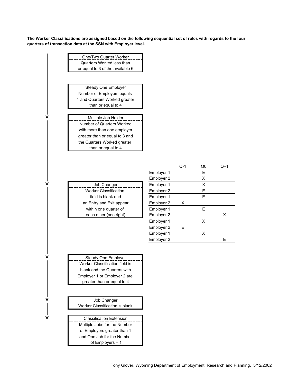**The Worker Classifications are assigned based on the following sequential set of rules with regards to the four quarters of transaction data at the SSN with Employer level.**

| One/Two Quarter Worker           |            |       |    |    |
|----------------------------------|------------|-------|----|----|
| Quarters Worked less than        |            |       |    |    |
| or equal to 3 of the available 6 |            |       |    |    |
|                                  |            |       |    |    |
|                                  |            |       |    |    |
| <b>Steady One Employer</b>       |            |       |    |    |
| Number of Employers equals       |            |       |    |    |
| 1 and Quarters Worked greater    |            |       |    |    |
| than or equal to 4               |            |       |    |    |
| Multiple Job Holder              |            |       |    |    |
| Number of Quarters Worked        |            |       |    |    |
| with more than one employer      |            |       |    |    |
| greater than or equal to 3 and   |            |       |    |    |
| the Quarters Worked greater      |            |       |    |    |
| than or equal to 4               |            |       |    |    |
|                                  |            |       |    |    |
|                                  |            |       |    |    |
|                                  |            | $Q-1$ | Q0 | Q+ |
|                                  | Employer 1 |       | E  |    |
|                                  | Employer 2 |       | X  |    |
| Job Changer                      | Employer 1 |       | X  |    |
| <b>Worker Classification</b>     | Employer 2 |       | Е  |    |
| field is blank and               | Employer 1 |       | E  |    |
| an Entry and Exit appear         | Employer 2 | Χ     |    |    |
| within one quarter of            | Employer 1 |       | E  |    |
| each other (see right)           | Employer 2 |       |    | х  |
|                                  | Employer 1 |       | X  |    |
|                                  | Employer 2 | Е     |    |    |
|                                  | Employer 1 |       | X  |    |
|                                  | Employer 2 |       |    | Ε  |
|                                  |            |       |    |    |
|                                  |            |       |    |    |
| Steady One Employer              |            |       |    |    |
| Worker Classification field is   |            |       |    |    |
| blank and the Quarters with      |            |       |    |    |
| Employer 1 or Employer 2 are     |            |       |    |    |
| greater than or equal to 4       |            |       |    |    |
|                                  |            |       |    |    |
| Job Changer                      |            |       |    |    |
| Worker Classification is blank   |            |       |    |    |
| <b>Classification Extension</b>  |            |       |    |    |
| Multiple Jobs for the Number     |            |       |    |    |
| of Employers greater than 1      |            |       |    |    |
| and One Job for the Number       |            |       |    |    |
| of Employers = 1                 |            |       |    |    |
|                                  |            |       |    |    |

**>**

 $\overline{\mathsf{v}}$  $\blacksquare$ 

**>>**

**>**

**>**

Q-1 Q0 Q+1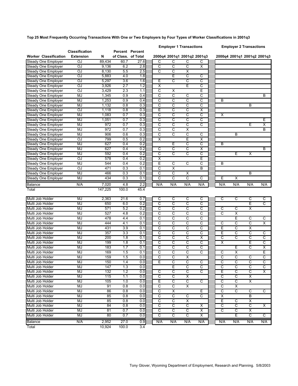**Top 25 Most Frequently Occurring Transactions With One or Two Employers by Four Types of Worker Classifications in 2001q3**

|                                      | <b>Classification</b> |         |                    | Percent Percent |                         | <b>Employer 1 Transactions</b> |                              |                             |                         |                            | <b>Employer 2 Transactions</b> |                             |
|--------------------------------------|-----------------------|---------|--------------------|-----------------|-------------------------|--------------------------------|------------------------------|-----------------------------|-------------------------|----------------------------|--------------------------------|-----------------------------|
| <b>Worker Classification</b>         | <b>Extension</b>      | N       | of Class. of Total |                 |                         |                                |                              | 2000q4 2001q1 2001q2 2001q3 |                         |                            |                                | 2000q4 2001q1 2001q2 2001q3 |
| <b>Steady One Employer</b>           | OJ                    | 89,434  | 60.7               | 27.6            | C                       | C                              | C                            | С                           |                         |                            |                                |                             |
| Steady One Employer                  | OJ                    | 9,136   | 6.2                | 2.8             | $\overline{c}$          | $\overline{\text{c}}$          | C                            | X                           |                         |                            |                                |                             |
| Steady One Employer                  | OJ                    | 8,130   | 5.5                | 2.5             | C                       | C                              | X                            |                             |                         |                            |                                |                             |
| Steady One Employer                  | OJ                    | 5,883   | 4.0                | 1.8             |                         | Ε                              | С                            | С                           |                         |                            |                                |                             |
| Steady One Employer                  | OJ                    | 5,297   | 3.6                | 1.6             | Ε                       | C                              | C                            | C                           |                         |                            |                                |                             |
| Steady One Employer                  | OJ                    | 3,926   | 2.7                | 1.2             | X                       |                                | E                            | C                           |                         |                            |                                |                             |
| Steady One Employer                  | OJ                    | 3,429   | 2.3                | 1.1             | C                       | х                              |                              | Ε                           |                         |                            |                                |                             |
| <b>Steady One Employer</b>           | MJ                    | 1,345   | 0.9                | 0.4             | $\overline{c}$          | C                              | С                            | C                           |                         |                            |                                | B                           |
| <b>Steady One Employer</b>           | MJ                    | 1,253   | 0.9                | 0.4             | C                       | C                              | C                            | C                           | B                       |                            |                                |                             |
| Steady One Employer                  | MJ                    | 1,132   | 0.8                | 0.3             | $\overline{c}$          | C                              | C                            | C                           |                         |                            | B                              |                             |
| Steady One Employer                  | OJ                    | 1,118   | 0.8                | 0.3             | Ē                       | C                              | C                            | X                           |                         |                            |                                |                             |
| Steady One Employer                  | MJ                    | 1,083   | 0.7                | 0.3             | C                       | C                              | C                            | C                           | X                       |                            |                                |                             |
| Steady One Employer                  | MJ                    | 1,051   | 0.7                | 0.3             | C                       | C                              | C                            | С                           |                         |                            |                                | Ε                           |
| Steady One Employer                  | MJ                    | 972     | 0.7                | 0.3             | $\overline{c}$          | $\overline{C}$                 | C                            | C                           |                         |                            | Е                              | $\overline{\mathsf{x}}$     |
| Steady One Employer                  | MJ                    | 972     | 0.7                | 0.3             | $\overline{c}$          | $\overline{\text{c}}$          | х                            |                             |                         |                            |                                | B                           |
| Steady One Employer                  | MJ                    | 906     | 0.6                | 0.3             | C                       | C                              | С                            | С                           |                         | B                          |                                |                             |
| Steady One Employer                  | OJ                    | 799     | 0.5                | 0.2             | $\overline{\mathsf{x}}$ |                                | E                            | X                           |                         |                            |                                |                             |
| Steady One Employer                  | MJ                    | 627     | 0.4                | 0.2             |                         | E                              | C                            | C                           | B                       |                            |                                |                             |
| Steady One Employer                  | MJ                    | 627     | 0.4                | 0.2             | C                       | С                              | C                            | х                           |                         |                            |                                | B                           |
|                                      | MJ                    | 592     | 0.4                | 0.2             | $\overline{c}$          | $\overline{C}$                 | $\overline{\text{c}}$        | С                           |                         | E                          |                                |                             |
| Steady One Employer                  | OJ                    | 578     | 0.4                | 0.2             | $\overline{\mathsf{x}}$ |                                |                              | Ε                           |                         |                            | х                              |                             |
| Steady One Employer                  |                       |         |                    |                 | E                       |                                |                              |                             |                         |                            |                                |                             |
| Steady One Employer                  | MJ                    | 544     | 0.4                | 0.2             | C                       | C<br>$\overline{\mathsf{x}}$   | C                            | С<br>B                      | B                       |                            |                                |                             |
| Steady One Employer                  | OJ                    | 471     | 0.3                | 0.1             |                         |                                |                              |                             |                         |                            |                                |                             |
| Steady One Employer                  | MJ                    | 466     | 0.3                | 0.1             | C<br>ਟ                  | C<br>C                         | х<br>ਟ                       |                             |                         |                            | B                              |                             |
| Steady One Employer                  | MJ                    | 434     | 0.3                | 0.1             |                         |                                |                              | C                           | Е                       | х                          |                                |                             |
| <b>Balance</b>                       | N/A                   | 7,020   | 4.8                | 2.2             | N/A                     | N/A                            | N/A                          | N/A                         | N/A                     | N/A                        | N/A                            | N/A                         |
| Total                                |                       | 147,225 | 100.0              | 45.4            |                         |                                |                              |                             |                         |                            |                                |                             |
| Multi Job Holder                     | MJ                    | 2,363   | 21.6               | 0.7             | C                       | C                              | С                            | С                           | С                       | C                          | C                              | С                           |
| Multi Job Holder                     | MJ                    | 650     | 6.0                | 0.2             | $\overline{\text{c}}$   | $\overline{\text{c}}$          | C                            | C                           |                         |                            | Έ                              | $\overline{\text{c}}$       |
| Multi Job Holder                     | MJ                    | 571     | 5.2                | 0.2             | c                       | c                              | C                            | C                           | C                       | C                          | Χ                              |                             |
| Multi Job Holder                     | MJ                    | 527     | 4.8                | 0.2             | C                       | C                              | C                            | С                           | С                       | X                          |                                |                             |
| Multi Job Holder                     | MJ                    | 478     | 4.4                | 0.1             | $\overline{\mathsf{c}}$ | C                              | C                            | C                           |                         | E                          | C                              | C                           |
| Multi Job Holder                     | MJ                    | 444     | 4.1                | 0.1             | C                       | C                              | C                            | C                           | C                       | C                          | C                              | $\overline{\mathsf{x}}$     |
| Multi Job Holder                     | MJ                    | 431     | 3.9                | 0.1             | C                       | C                              | C                            | С                           | Ε                       | C                          | Х                              |                             |
| Multi Job Holder                     | MJ                    | 357     | 3.3                | 0.1             | $\overline{c}$          | C                              | C                            | C                           | Ε                       | C                          | C                              | С                           |
| Multi Job Holder                     | MJ                    | 200     | 1.8                | 0.1             | C                       | C                              | C                            | X                           | C                       | C                          | C                              | $\overline{c}$              |
| Multi Job Holder                     | MJ                    | 199     | 1.8                | 0.1             | C                       | C                              | C                            | С                           | X                       |                            | Ε                              | C                           |
| Multi Job Holder                     | MJ                    | 183     | 1.7                | 0.1             | C                       | C                              | C                            | С                           |                         | Е                          | С                              | $\overline{\mathsf{x}}$     |
| Multi Job Holder                     | MJ                    | 169     | 1.5                | 0.1             | C                       | C                              | С                            | C                           | C                       | х                          |                                | E                           |
| Multi Job Holder                     | MJ                    | 159     | 1.5                | 0.0             | C                       | C                              | X                            |                             | C                       | C                          | С                              | С                           |
| Multi Job Holder                     | <b>MJ</b>             | 150     | 1.4                | 0.0             | E                       | С                              |                              | C                           | С                       | C                          |                                |                             |
| Multi Job Holder                     | MJ                    | 147     | 1.3                | 0.0             |                         | E                              | C                            | C                           | C                       | $\overline{c}$             | C                              | $\overline{c}$              |
|                                      |                       |         |                    |                 |                         |                                |                              |                             |                         |                            |                                |                             |
| Multi Job Holder<br>Multi Job Holder | MJ                    | 132     | 1.2                | 0.0             | C<br>$\overline{c}$     | С<br>$\overline{c}$            | С<br>$\overline{\mathsf{x}}$ | C                           | Ε<br>C                  | C<br>$\overline{\text{c}}$ | C                              | Х                           |
|                                      | MJ                    | 115     | 1.1                | 0.0             |                         |                                |                              |                             |                         |                            | X                              |                             |
| Multi Job Holder                     | MJ                    | 105     | 1.0                | 0.0             | Ε                       | C                              | $\overline{\mathsf{C}}$      | C                           | C                       | $\overline{\text{c}}$      | $\overline{\mathsf{x}}$        |                             |
| Multi Job Holder                     | MJ                    | 91      | 0.8                | 0.0             | c                       | C                              | Χ                            |                             | င                       | Χ                          |                                |                             |
| Multi Job Holder                     | MJ                    | 86      | 0.8                | 0.0             | $\overline{c}$          | $\overline{\mathsf{x}}$        |                              | Е                           | C                       | $\overline{c}$             | C                              | C                           |
| Multi Job Holder                     | MJ                    | 85      | 0.8                | 0.0             | $\overline{\mathsf{c}}$ | $\overline{\text{c}}$          | С                            | $\overline{\mathsf{c}}$     | $\overline{\mathsf{x}}$ |                            | В                              |                             |
| Multi Job Holder                     | MJ                    | 85      | 0.8                | 0.0             | $\overline{\mathsf{c}}$ | $\overline{C}$                 | X                            |                             | Ε                       | С                          | X                              |                             |
| Multi Job Holder                     | MJ                    | 84      | 0.8                | 0.0             | $\overline{c}$          | $\overline{c}$                 | C                            | х                           | C                       | c                          | C                              | х                           |
| Multi Job Holder                     | MJ                    | 81      | 0.7                | 0.0             | $\overline{\mathsf{c}}$ | $\overline{\text{c}}$          | $\overline{\mathsf{C}}$      | X                           | $\overline{\mathsf{c}}$ | $\overline{c}$             | X                              |                             |
| Multi Job Holder                     | MJ                    | 80      | 0.7                | 0.0             | $\overline{\mathsf{c}}$ | $\overline{\mathsf{c}}$        | С                            | Х                           |                         | Ε                          | C                              | C                           |
| <b>Balance</b>                       | N/A                   | 2,952   | 27.0               | 0.9             | N/A                     | N/A                            | N/A                          | N/A                         | N/A                     | N/A                        | N/A                            | N/A                         |
| Total                                |                       | 10,924  | 100.0              | 3.4             |                         |                                |                              |                             |                         |                            |                                |                             |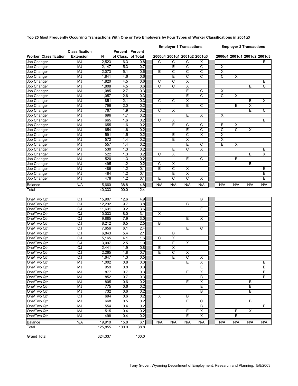**Top 25 Most Frequently Occurring Transactions With One or Two Employers by Four Types of Worker Classifications in 2001q3**

|                              |                                           |         |                    |                        |                         | <b>Employer 1 Transactions</b> |                         |                             |                         |                       | <b>Employer 2 Transactions</b> |     |
|------------------------------|-------------------------------------------|---------|--------------------|------------------------|-------------------------|--------------------------------|-------------------------|-----------------------------|-------------------------|-----------------------|--------------------------------|-----|
| <b>Worker Classification</b> | <b>Classification</b><br><b>Extension</b> | N       | of Class. of Total | <b>Percent Percent</b> |                         |                                |                         | 2000q4 2001q1 2001q2 2001q3 |                         |                       | 2000q4 2001q1 2001q2 2001q3    |     |
| <b>Job Changer</b>           | MJ                                        | 2.523   | 6.3                | 0.8                    | C                       | $\overline{\text{c}}$          | C                       | Х                           |                         |                       |                                | Е   |
| <b>Job Changer</b>           | MJ                                        | 2,147   | 5.3                | 0.7                    |                         | Έ                              | C                       | C                           | Χ                       |                       |                                |     |
| Job Changer                  | MJ                                        | 2,073   | 5.1                | 0.6                    | Ε                       | C                              | C                       | C                           | $\overline{\mathsf{x}}$ |                       |                                |     |
| <b>Job Changer</b>           | MJ                                        | 1,841   | 4.6                | 0.6                    |                         | E                              | C                       | C                           | $\overline{\text{c}}$   | Χ                     |                                |     |
| Job Changer                  | MJ                                        | 1,820   | 4.5                | 0.6                    | C                       | C                              | X                       |                             |                         |                       |                                | Ε   |
| Job Changer                  | MJ                                        | 1,808   | 4.5                | 0.6                    | $\overline{\mathsf{c}}$ | C                              | X                       |                             |                         |                       | Ε                              | C   |
| Job Changer                  | MJ                                        | 1,085   | 2.7                | 0.3                    |                         |                                | E                       | C                           | $\overline{\mathsf{x}}$ |                       |                                |     |
| Job Changer                  | MJ                                        | 1,057   | 2.6                | 0.3                    |                         |                                | Ē                       | c                           | $\overline{\text{c}}$   | Χ                     |                                |     |
| <b>Job Changer</b>           | MJ                                        | 851     | 2.1                | 0.3                    | C                       | C                              | X                       |                             |                         |                       | Ε                              | х   |
| Job Changer                  | MJ                                        | 796     | 2.0                | 0.2                    |                         |                                | E                       | C                           |                         | Е                     | X                              |     |
| Job Changer                  | MJ                                        | 767     | 1.9                | 0.2                    | C                       | Х                              |                         |                             |                         |                       | Ε                              | С   |
| Job Changer                  | MJ                                        | 696     | 1.7                | 0.2                    |                         |                                | E                       | X                           | $\overline{\mathsf{x}}$ |                       |                                |     |
| Job Changer                  | MJ                                        | 665     | 1.6                | 0.2                    | C                       | X                              |                         |                             |                         |                       |                                | Е   |
| Job Changer                  | MJ                                        | 655     | 1.6                | 0.2                    |                         | Ε                              | C                       | C                           | Ε                       | X                     |                                |     |
| Job Changer                  | MJ                                        | 654     | 1.6                | 0.2                    |                         |                                | Ē                       | C                           | C                       | $\overline{\text{c}}$ | X                              |     |
| Job Changer                  | MJ                                        | 591     | 1.5                | 0.2                    |                         | Ε                              | С                       | Х                           | Χ                       |                       |                                |     |
| Job Changer                  | MJ                                        | 572     | 1.4                | 0.2                    |                         | Ε                              | $\overline{\mathsf{x}}$ |                             | $\overline{\mathsf{x}}$ |                       |                                |     |
| <b>Job Changer</b>           | <b>MJ</b>                                 | 557     | 1.4                | 0.2                    |                         |                                | E                       | C                           | Έ                       | Χ                     |                                |     |
| Job Changer                  | MJ                                        | 530     | 1.3                | 0.2                    |                         | Ε                              | C                       | Х                           |                         |                       |                                | Ε   |
| Job Changer                  | MJ                                        | 522     | 1.3                | 0.2                    | C                       | $\overline{\mathsf{x}}$        |                         |                             |                         |                       | Ε                              | Х   |
| Job Changer                  | MJ                                        | 520     | 1.3                | 0.2                    |                         |                                | E                       | C                           |                         | B                     |                                |     |
| Job Changer                  | MJ                                        | 495     | 1.2                | 0.2                    | С                       | х                              |                         |                             |                         |                       | B                              |     |
| Job Changer                  | MJ                                        | 486     | 1.2                | 0.1                    | Έ                       | $\overline{\mathsf{c}}$        | $\overline{\mathsf{x}}$ |                             |                         |                       |                                | Ε   |
| Job Changer                  | MJ                                        | 484     | 1.2                | 0.1                    |                         | Ε                              | X                       |                             |                         |                       |                                | Ε   |
| Job Changer                  | MJ                                        | 478     | 1.2                | 0.1                    | Ε                       | С                              | C                       | х                           |                         |                       |                                | Ε   |
| Balance                      | N/A                                       | 15,660  | 38.8               | 4.8                    | N/A                     | N/A                            | N/A                     | N/A                         | N/A                     | N/A                   | N/A                            | N/A |
| Total                        |                                           | 40,333  | 100.0              | 12.4                   |                         |                                |                         |                             |                         |                       |                                |     |
| One/Two Qtr                  | OJ                                        | 15,907  | 12.6               | 4.9                    |                         |                                |                         | B                           |                         |                       |                                |     |
| One/Two Qtr                  | OJ                                        | 12,232  | 9.7                | 3.8                    |                         |                                | B                       |                             |                         |                       |                                |     |
| One/Two Qtr                  | OJ                                        | 11,631  | 9.2                | 3.6                    |                         |                                |                         | Ε                           |                         |                       |                                |     |
| One/Two Qtr                  | OJ                                        | 10,033  | 8.0                | 3.1                    | $\overline{\mathsf{x}}$ |                                |                         |                             |                         |                       |                                |     |
| One/Two Qtr                  | OJ                                        | 9,885   | 7.9                | 3.0                    |                         |                                | Е                       | Χ                           |                         |                       |                                |     |
| One/Two Qtr                  | OJ                                        | 8,212   | 6.5                | 2.5                    | B                       |                                |                         |                             |                         |                       |                                |     |
| One/Two Qtr                  | OJ                                        | 7,656   | 6.1                | 2.4                    |                         |                                | E                       | C                           |                         |                       |                                |     |
| One/Two Qtr                  | OJ                                        | 6,843   | 5.4                | 2.1                    |                         | B                              |                         |                             |                         |                       |                                |     |
| One/Two Qtr                  | OJ                                        | 5,165   | 4.1                | 1.6                    | $\overline{c}$          | X                              |                         |                             |                         |                       |                                |     |
| One/Two Qtr                  | OJ                                        | 3,097   | 2.5                | 1.0                    |                         | Ε                              | Х                       |                             |                         |                       |                                |     |
| One/Two Qtr                  | OJ                                        | 2,441   | 1.9                | 0.8                    | Ε                       | $\overline{\mathsf{x}}$        |                         |                             |                         |                       |                                |     |
| One/Two Qtr                  | OJ                                        | 2,265   | 1.8                | 0.7                    | Έ                       | C                              | Χ                       |                             |                         |                       |                                |     |
| One/Two Qtr                  | OJ                                        | 1,647   | 1.3                | 0.5                    |                         | E                              | С                       | Х                           |                         |                       |                                |     |
| One/Two Qtr                  | MJ                                        | 1,002   | 0.8                | 0.3                    |                         |                                | Ε                       | х                           |                         |                       |                                | ᄇ   |
| One/Two Qtr                  | MJ                                        | 959     | 0.8                | 0.3                    |                         |                                |                         | Е                           |                         |                       |                                | B   |
| One/Two Qtr                  | MJ                                        | 877     | 0.7                | 0.3                    |                         |                                | Ε                       | Х                           |                         |                       |                                | B   |
| One/Two Qtr                  | <b>MJ</b>                                 | 852     | 0.7                | 0.3                    |                         |                                |                         | B                           |                         |                       |                                | В   |
| One/Two Qtr                  | MJ                                        | 805     | 0.6                | 0.2                    |                         |                                | Е                       | X                           |                         |                       | В                              |     |
| One/Two Qtr                  | MJ                                        | 775     | 0.6                | 0.2                    |                         |                                |                         | Е                           |                         |                       | B                              |     |
| One/Two Qtr                  | MJ                                        | 732     | 0.6                | 0.2                    |                         |                                |                         | B                           |                         |                       | B                              |     |
| One/Two Qtr                  | ЮJ                                        | 694     | 0.6                | 0.2                    | X                       |                                | В                       |                             |                         |                       |                                |     |
| One/Two Qtr                  | MJ                                        | 668     | 0.5                | 0.2                    |                         |                                | Ε                       | С                           |                         |                       | B                              |     |
| One/Two Qtr                  | MJ                                        | 554     | 0.4                | 0.2                    |                         |                                |                         | B                           |                         |                       |                                | Е   |
| One/Two Qtr                  | MJ                                        | 515     | 0.4                | 0.2                    |                         |                                | E                       | X                           |                         | Е                     | Χ                              |     |
| One/Two Qtr                  | MJ                                        | 498     | 0.4                | 0.2                    |                         |                                | Ε                       | Χ                           |                         | В                     |                                |     |
| Balance                      | N/A                                       | 19,910  | 15.8               | 6.1                    | N/A                     | N/A                            | N/A                     | N/A                         | N/A                     | N/A                   | N/A                            | N/A |
| Total                        |                                           | 125,855 | 100.0              | 38.8                   |                         |                                |                         |                             |                         |                       |                                |     |
|                              |                                           |         |                    |                        |                         |                                |                         |                             |                         |                       |                                |     |
| <b>Grand Total</b>           |                                           | 324,337 |                    | 100.0                  |                         |                                |                         |                             |                         |                       |                                |     |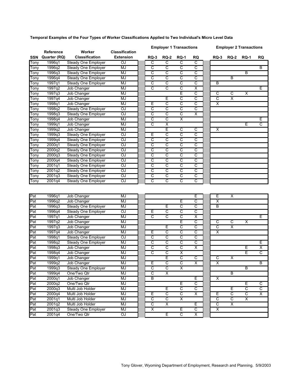|             |              |                            |                       | <b>Employer 1 Transactions</b> |                         |                         |                         | <b>Employer 2 Transactions</b> |                         |                         |                         |
|-------------|--------------|----------------------------|-----------------------|--------------------------------|-------------------------|-------------------------|-------------------------|--------------------------------|-------------------------|-------------------------|-------------------------|
|             | Reference    | Worker                     | <b>Classification</b> |                                |                         |                         |                         |                                |                         |                         |                         |
| <b>SSN</b>  | Quarter (RQ) | <b>Classification</b>      | <b>Extension</b>      | <b>RQ-3</b>                    | <b>RQ-2</b>             | <b>RQ-1</b>             | RQ                      | <b>RQ-3</b>                    | <b>RQ-2</b>             | <b>RQ-1</b>             | RQ                      |
| Tony        | 1996q1       | Steady One Employer        | OJ                    | C                              | ਟ                       | $\overline{\text{c}}$   | C                       |                                |                         |                         |                         |
| Tony        | 1996q2       | Steady One Employer        | MJ                    | $\overline{C}$                 | $\overline{\text{c}}$   | $\overline{C}$          | $\overline{C}$          |                                |                         |                         | B                       |
| Tonv        | 1996q3       | Steady One Employer        | MJ                    | C                              | $\overline{c}$          | С                       | С                       |                                |                         | B                       |                         |
| Tony        | 1996q4       | Steady One Employer        | <b>MJ</b>             | C                              | $\overline{\text{c}}$   | $\overline{\text{c}}$   | C                       |                                | B                       |                         |                         |
| Tony        | 1997q1       | Steady One Employer        | <b>MJ</b>             | C                              | $\overline{\text{c}}$   | C                       | C                       | B                              |                         |                         |                         |
| Tony        | 1997q2       | Job Changer                | MJ                    | C                              | C                       | C                       | X                       |                                |                         |                         | E                       |
| Tony        | 1997q3       | Job Changer                | MJ                    |                                |                         | Ē                       | C                       | $\overline{c}$                 | $\overline{c}$          | $\overline{\mathsf{x}}$ |                         |
| Tony        | 1997q4       | Job Changer                | MJ                    |                                | Е                       | C                       | С                       | $\mathsf{C}$                   | X                       |                         |                         |
| Tony        | 1998q1       | Job Changer                | <b>MJ</b>             | Ε                              | $\overline{\text{c}}$   | C                       | $\overline{\text{c}}$   | $\overline{\mathsf{x}}$        |                         |                         |                         |
| Tony        | 1998q2       | Steady One Employer        | g                     | $\overline{\text{c}}$          | C                       | $\overline{\text{c}}$   | $\overline{\text{c}}$   |                                |                         |                         |                         |
| Tony        | 1998q3       | Steady One Employer        | g                     | C                              | С                       | $\overline{c}$          | X                       |                                |                         |                         |                         |
| Tony        | 1998q4       | Job Changer                | <b>MJ</b>             | $\overline{\text{c}}$          | $\overline{\text{c}}$   | $\overline{\mathsf{x}}$ |                         |                                |                         |                         | Ε                       |
| <b>Tony</b> | 1999q1       | Job Changer                | MJ                    | $\overline{\text{c}}$          | $\overline{\mathsf{x}}$ |                         |                         |                                |                         | Ε                       | C                       |
| Tony        | 1999q2       | Job Changer                | <b>MJ</b>             |                                | E                       | $\overline{c}$          | C                       | $\overline{\mathsf{x}}$        |                         |                         |                         |
| Tony        | 1999q3       | Steady One Employer        | OJ                    | Е                              | $\overline{c}$          | C                       | $\overline{C}$          |                                |                         |                         |                         |
| Tony        | 1999q4       | Steady One Employer        | $\overline{a}$        | C                              | $\overline{\text{c}}$   | C                       | $\overline{\text{c}}$   |                                |                         |                         |                         |
| Tony        | 2000q1       | Steady One Employer        | S                     | $\overline{\text{c}}$          | C                       | $\overline{\text{c}}$   | $\overline{\text{c}}$   |                                |                         |                         |                         |
| Tony        | 2000q2       | Steady One Employer        | OJ                    | $\overline{\text{c}}$          | C                       | C                       | $\overline{\text{c}}$   |                                |                         |                         |                         |
| Tony        | 2000q3       | Steady One Employer        | g                     | $\overline{\text{c}}$          | $\overline{\text{c}}$   | C                       | $\overline{\text{c}}$   |                                |                         |                         |                         |
| Tony        | 2000q4       | Steady One Employer        | S                     | C                              | $\overline{\text{c}}$   | C                       | C                       |                                |                         |                         |                         |
| Tony        | 2001q1       | Steady One Employer        | S                     | $\overline{\text{c}}$          | $\overline{\text{c}}$   | $\overline{\text{c}}$   | $\overline{\text{c}}$   |                                |                         |                         |                         |
|             |              | <b>Steady One Employer</b> | OJ                    | C                              | C                       | C                       | C                       |                                |                         |                         |                         |
| Tony        | 2001q2       |                            | ΟJ                    | C                              | $\overline{\text{c}}$   | C                       | C                       |                                |                         |                         |                         |
| Tony        | 2001q3       | Steady One Employer        |                       | $\overline{\text{c}}$          | $\overline{\text{c}}$   |                         |                         |                                |                         |                         |                         |
| Tony        | 2001q4       | Steady One Employer        | ΟJ                    |                                |                         | C                       | C                       |                                |                         |                         |                         |
|             |              |                            |                       |                                |                         |                         |                         |                                |                         |                         |                         |
| Pat         | 1996q1       | Job Changer                | <b>MJ</b>             |                                |                         |                         | Ε                       | Έ                              | $\overline{\mathsf{x}}$ |                         |                         |
| Pat         | 1996q2       | Job Changer                | <b>MJ</b>             |                                |                         | Ε                       | С                       | X                              |                         |                         |                         |
| Pat         | 1996q3       | Steady One Employer        | MJ                    |                                | Έ                       | $\overline{\text{c}}$   | $\overline{\text{c}}$   | $\overline{B}$                 |                         |                         |                         |
| Pat         | 1996q4       | Steady One Employer        | g                     | Ε                              | $\overline{\text{c}}$   | C                       | C                       |                                |                         |                         |                         |
| Pat         | 1997q1       | Job Changer                | MJ                    | $\overline{c}$                 | $\overline{\mathsf{c}}$ | C                       | $\overline{\mathsf{X}}$ |                                |                         |                         | E                       |
| Pat         | 1997q2       | Job Changer                | MJ                    |                                |                         | Έ                       | С                       | $\overline{c}$                 | $\overline{C}$          | X                       |                         |
| Pat         | 1997q3       | Job Changer                | <b>MJ</b>             |                                | E                       | $\overline{\text{c}}$   | $\overline{\text{c}}$   | $\overline{\mathsf{c}}$        | $\overline{\mathsf{x}}$ |                         |                         |
| Pat         | 1997q4       | Job Changer                | MJ                    | Е                              | $\overline{\text{c}}$   | $\overline{\text{c}}$   | $\overline{\text{c}}$   | $\overline{\mathsf{x}}$        |                         |                         |                         |
| Pat         | 1998q1       | Steady One Employer        | ΟJ                    | $\overline{\text{c}}$          | C                       | C                       | $\overline{\text{c}}$   |                                |                         |                         |                         |
| Pat         | 1998q2       | <b>Steady One Employer</b> | MJ                    | C                              | C                       | C                       | С                       |                                |                         |                         | Ε                       |
| Pat         | 1998q3       | Job Changer                | MJ                    | $\overline{C}$                 | $\overline{\text{c}}$   | $\overline{\text{c}}$   | $\overline{\mathsf{x}}$ |                                |                         | Ε                       | X                       |
| Pat         | 1998q4       | Job Changer                | MJ                    | C                              | $\overline{\text{c}}$   | $\overline{\mathsf{x}}$ |                         |                                |                         | Ē                       | C                       |
| Pat         | 1999q1       | Job Changer                | MJ                    |                                | Ē                       | C                       | $\overline{\text{c}}$   | C                              | $\overline{\mathsf{x}}$ |                         |                         |
| Pat         | 1999q2       | Job Changer                | MJ                    | Ε                              | С                       | С                       | X                       | X                              |                         |                         | В                       |
| Pat         | 1999q3       | Steady One Employer        | <b>MJ</b>             | C                              | C                       | $\overline{\mathsf{x}}$ |                         |                                |                         | $\overline{B}$          |                         |
| Pat         | 1999q4       | One/Two Qtr                | MJ                    | $\overline{\text{c}}$          | $\overline{\mathsf{x}}$ |                         |                         |                                | B                       |                         |                         |
| Pat         | 2000q1       |                            | MJ                    | B                              |                         |                         | Ε                       | $\overline{\mathsf{x}}$        |                         |                         |                         |
|             |              | Job Changer                |                       |                                |                         |                         |                         |                                |                         |                         |                         |
| Pat         | 2000q2       | One/Two Qtr                | MJ                    |                                |                         | E                       | C                       |                                |                         | Ε                       | $\overline{\text{c}}$   |
| Pat         | 2000q3       | Multi Job Holder           | MJ                    |                                | Ε                       | $\overline{C}$          | C                       |                                | Ε                       | C                       | C                       |
| Pat         | 2000q4       | Multi Job Holder           | MJ                    | Ε                              | $\overline{\mathsf{C}}$ | $\overline{\mathsf{C}}$ | $\overline{\mathsf{x}}$ | Έ                              | $\overline{C}$          | $\overline{\mathsf{C}}$ | $\overline{\mathsf{x}}$ |
| Pat         | 2001q1       | Multi Job Holder           | MJ                    | C                              | C                       | $\overline{\mathsf{x}}$ |                         | $\overline{\mathsf{c}}$        | $\overline{\mathsf{C}}$ | $\overline{\mathsf{x}}$ |                         |
| Pat         | 2001q2       | Multi Job Holder           | MJ                    | $\overline{C}$                 | X                       |                         | E                       | $\overline{c}$                 | $\overline{\mathsf{x}}$ |                         |                         |
| Pat         | 2001q3       | Steady One Employer        | MJ                    | $\overline{\mathsf{x}}$        |                         | E                       | $\overline{C}$          | $\overline{\mathsf{x}}$        |                         |                         |                         |
| Pat         | 2001q4       | One/Two Qtr                | OJ.                   |                                | Ε                       | $\overline{\mathsf{C}}$ | X                       |                                |                         |                         |                         |

#### **Temporal Examples of the Four Types of Worker Classifications Applied to Two Individual's Micro Level Data**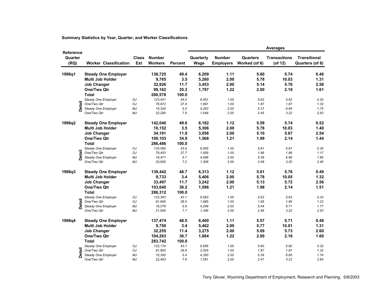|                              |                              |              |                                 |         |                   |                                   |                                  | <b>Averages</b>                |                                        |
|------------------------------|------------------------------|--------------|---------------------------------|---------|-------------------|-----------------------------------|----------------------------------|--------------------------------|----------------------------------------|
| Reference<br>Quarter<br>(RQ) | <b>Worker Classification</b> | Class<br>Ext | <b>Number</b><br><b>Workers</b> | Percent | Quarterly<br>Wage | <b>Number</b><br><b>Employers</b> | <b>Quarters</b><br>Worked (of 6) | <b>Transactions</b><br>(of 12) | <b>Transitional</b><br>Quarters (of 8) |
| 1996q1                       | <b>Steady One Employer</b>   |              | 138,725                         | 49.4    | 6,209             | 1.11                              | 5.60                             | 5.74                           | 0.46                                   |
|                              | Multi Job Holder             |              | 9,765                           | 3.5     | 5,260             | 2.00                              | 5.78                             | 10.03                          | 1.31                                   |
|                              | <b>Job Changer</b>           |              | 32,926                          | 11.7    | 3,453             | 2.00                              | 5.14                             | 5.76                           | 2.58                                   |
|                              | One/Two Qtr                  |              | 99,162                          | 35.3    | 1,797             | 1.22                              | 2.00                             | 2.18                           | 1.61                                   |
|                              | <b>Total</b>                 |              | 280,578                         | 100.0   |                   |                                   |                                  |                                |                                        |
|                              | Steady One Employer          | OJ           | 123,401                         | 44.0    | 6,451             | 1.00                              | 5.63                             | 5.63                           | 0.30                                   |
|                              | One/Two Qtr                  | OJ           | 76,872                          | 27.4    | 1,891             | 1.00                              | 1.87                             | 1.87                           | 1.32                                   |
| Detail                       | Steady One Employer          | MJ           | 15,324                          | 5.5     | 4,263             | 2.00                              | 5.37                             | 6.64                           | 1.75                                   |
|                              | One/Two Qtr                  | MJ           | 22,290                          | 7.9     | 1,548             | 2.00                              | 2.45                             | 3.22                           | 2.63                                   |
| 1996q2                       | <b>Steady One Employer</b>   |              | 142,040                         | 49.6    | 6,182             | 1.12                              | 5.59                             | 5.74                           | 0.52                                   |
|                              | Multi Job Holder             |              | 10,152                          | 3.5     | 5,306             | 2.00                              | 5.78                             | 10.03                          | 1.40                                   |
|                              | <b>Job Changer</b>           |              | 34,191                          | 11.9    | 3,056             | 2.00                              | 5.10                             | 5.67                           | 2.54                                   |
|                              | One/Two Qtr                  |              | 100,103                         | 34.9    | 1,568             | 1.21                              | 1.99                             | 2.14                           | 1.44                                   |
|                              | <b>Total</b>                 |              | 286,486                         | 100.0   |                   |                                   |                                  |                                |                                        |
|                              | Steady One Employer          | OJ           | 125,569                         | 43.8    | 6,455             | 1.00                              | 5.61                             | 5.61                           | 0.35                                   |
| <b>Detail</b>                | One/Two Qtr                  | OJ           | 79,453                          | 27.7    | 1,659             | 1.00                              | 1.86                             | 1.86                           | 1.17                                   |
|                              | Steady One Employer          | MJ           | 16,471                          | 5.7     | 4,096             | 2.00                              | 5.38                             | 6.66                           | 1.80                                   |
|                              | One/Two Qtr                  | MJ           | 20,650                          | 7.2     | 1,308             | 2.00                              | 2.48                             | 3.20                           | 2.46                                   |
| 1996q3                       | <b>Steady One Employer</b>   |              | 139,442                         | 48.7    | 6,313             | 1.12                              | 5.61                             | 5.76                           | 0.49                                   |
|                              | Multi Job Holder             |              | 9,733                           | 3.4     | 5,406             | 2.00                              | 5.78                             | 10.05                          | 1.32                                   |
|                              | <b>Job Changer</b>           |              | 33,497                          | 11.7    | 3,242             | 2.00                              | 5.13                             | 5.72                           | 2.56                                   |
|                              | One/Two Qtr                  |              | 103,640                         | 36.2    | 1,596             | 1.21                              | 1.98                             | 2.14                           | 1.51                                   |
|                              | <b>Total</b>                 |              | 286,312                         | 100.0   |                   |                                   |                                  |                                |                                        |
|                              | Steady One Employer          | OJ           | 123,363                         | 43.1    | 6,583             | 1.00                              | 5.63                             | 5.63                           | 0.33                                   |
| <b>Detail</b>                | One/Two Qtr                  | OJ           | 81,695                          | 28.5    | 1,685             | 1.00                              | 1.85                             | 1.85                           | 1.23                                   |
|                              | Steady One Employer          | MJ           | 16,079                          | 5.6     | 4,248             | 2.00                              | 5.44                             | 6.71                           | 1.77                                   |
|                              | One/Two Qtr                  | MJ           | 21,945                          | 7.7     | 1,346             | 2.00                              | 2.46                             | 3.22                           | 2.53                                   |
| 1996q4                       | <b>Steady One Employer</b>   |              | 137,474                         | 48.5    | 6,400             | 1.11                              | 5.57                             | 5.71                           | 0.48                                   |
|                              | Multi Job Holder             |              | 9,750                           | 3.4     | 5,462             | 2.00                              | 5.77                             | 10.01                          | 1.31                                   |
|                              | <b>Job Changer</b>           |              | 32,255                          | 11.4    | 3,275             | 2.00                              | 5.09                             | 5.73                           | 2.60                                   |
|                              | One/Two Qtr                  |              | 104,263                         | 36.7    | 1,884             | 1.22                              | 2.00                             | 2.16                           | 1.60                                   |
|                              | <b>Total</b>                 |              | 283,742                         | 100.0   |                   |                                   |                                  |                                |                                        |
|                              | Steady One Employer          | OJ           | 122,174                         | 43.1    | 6,656             | 1.00                              | 5.60                             | 5.60                           | 0.32                                   |
| Detail                       | One/Two Qtr                  | OJ           | 81,800                          | 28.8    | 2,005             | 1.00                              | 1.87                             | 1.87                           | 1.32                                   |
|                              | Steady One Employer          | MJ           | 15,300                          | 5.4     | 4,350             | 2.00                              | 5.39                             | 6.65                           | 1.74                                   |
|                              | One/Two Qtr                  | MJ           | 22,463                          | 7.9     | 1,551             | 2.00                              | 2.47                             | 3.23                           | 2.64                                   |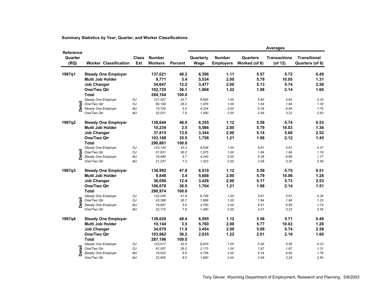|                                     |               |                              |                     |                                 |                |                   |                                   |                                  | <b>Averages</b>                |                                        |
|-------------------------------------|---------------|------------------------------|---------------------|---------------------------------|----------------|-------------------|-----------------------------------|----------------------------------|--------------------------------|----------------------------------------|
| <b>Reference</b><br>Quarter<br>(RQ) |               | <b>Worker Classification</b> | <b>Class</b><br>Ext | <b>Number</b><br><b>Workers</b> | <b>Percent</b> | Quarterly<br>Wage | <b>Number</b><br><b>Employers</b> | <b>Quarters</b><br>Worked (of 6) | <b>Transactions</b><br>(of 12) | <b>Transitional</b><br>Quarters (of 8) |
| 1997q1                              |               | <b>Steady One Employer</b>   |                     | 137,021                         | 48.2           | 6,396             | 1.11                              | 5.57                             | 5.72                           | 0.49                                   |
|                                     |               | Multi Job Holder             |                     | 9,771                           | 3.4            | 5,534             | 2.00                              | 5.79                             | 10.05                          | 1.31                                   |
|                                     |               | <b>Job Changer</b>           |                     | 34,647                          | 12.2           | 3,477             | 2.00                              | 5.13                             | 5.74                           | 2.58                                   |
|                                     |               | One/Two Qtr                  |                     | 102,725                         | 36.1           | 1,868             | 1.22                              | 1.98                             | 2.14                           | 1.60                                   |
|                                     |               | <b>Total</b>                 |                     | 284,164                         | 100.0          |                   |                                   |                                  |                                |                                        |
|                                     |               | Steady One Employer          | OJ                  | 121,297                         | 42.7           | 6,665             | 1.00                              | 5.60                             | 5.60                           | 0.33                                   |
|                                     | Detail        | One/Two Qtr                  | OJ                  | 80,194                          | 28.2           | 1,978             | 1.00                              | 1.84                             | 1.84                           | 1.32                                   |
|                                     |               | Steady One Employer          | MJ                  | 15,724                          | 5.5            | 4,324             | 2.00                              | 5.39                             | 6.64                           | 1.75                                   |
|                                     |               | One/Two Qtr                  | MJ                  | 22,531                          | 7.9            | 1,580             | 2.00                              | 2.49                             | 3.22                           | 2.63                                   |
|                                     |               |                              |                     |                                 | 48.0           | 6,355             | 1.12                              | 5.58                             | 5.74                           |                                        |
| 1997q2                              |               | <b>Steady One Employer</b>   |                     | 139,644                         |                |                   |                                   |                                  |                                | 0.53                                   |
|                                     |               | Multi Job Holder             |                     | 10,234                          | 3.5            | 5,586             | 2.00                              | 5.79                             | 10.03                          | 1.36                                   |
|                                     |               | <b>Job Changer</b>           |                     | 37,815                          | 13.0           | 3,344             | 2.00                              | 5.14                             | 5.68                           | 2.52                                   |
|                                     |               | One/Two Qtr                  |                     | 103,168                         | 35.5           | 1,758             | 1.21                              | 1.98                             | 2.12                           | 1.45                                   |
|                                     |               | <b>Total</b>                 |                     | 290,861                         | 100.0          |                   |                                   |                                  |                                |                                        |
|                                     |               | Steady One Employer          | OJ                  | 123,145                         | 42.3           | 6,638             | 1.00                              | 5.61                             | 5.61                           | 0.37                                   |
|                                     | <b>Detail</b> | One/Two Qtr                  | OJ                  | 81,931                          | 28.2           | 1,875             | 1.00                              | 1.84                             | 1.84                           | 1.18                                   |
|                                     |               | Steady One Employer          | MJ                  | 16,499                          | 5.7            | 4,240             | 2.00                              | 5.38                             | 6.68                           | 1.77                                   |
|                                     |               | One/Two Qtr                  | MJ                  | 21,237                          | 7.3            | 1,423             | 2.00                              | 2.48                             | 3.20                           | 2.48                                   |
| 1997q3                              |               | <b>Steady One Employer</b>   |                     | 138,992                         | 47.8           | 6,510             | 1.12                              | 5.59                             | 5.75                           | 0.51                                   |
|                                     |               | <b>Multi Job Holder</b>      |                     | 9,848                           | 3.4            | 5,688             | 2.00                              | 5.79                             | 10.06                          | 1.28                                   |
|                                     |               | <b>Job Changer</b>           |                     | 36,056                          | 12.4           | 3,426             | 2.00                              | 5.17                             | 5.73                           | 2.53                                   |
|                                     |               | <b>One/Two Qtr</b>           |                     | 106,078                         | 36.5           | 1,764             | 1.21                              | 1.98                             | 2.14                           | 1.51                                   |
|                                     |               | <b>Total</b>                 |                     | 290,974                         | 100.0          |                   |                                   |                                  |                                |                                        |
|                                     |               | Steady One Employer          | OJ                  | 122,045                         | 41.9           | 6,749             | 1.00                              | 5.61                             | 5.61                           | 0.34                                   |
|                                     | <b>Detail</b> | One/Two Qtr                  | OJ                  | 83,368                          | 28.7           | 1,868             | 1.00                              | 1.84                             | 1.84                           | 1.23                                   |
|                                     |               | Steady One Employer          | MJ                  | 16,947                          | 5.8            | 4,790             | 2.00                              | 5.41                             | 6.69                           | 1.74                                   |
|                                     |               | One/Two Qtr                  | MJ                  | 22,710                          | 7.8            | 1,480             | 2.00                              | 2.47                             | 3.23                           | 2.54                                   |
| 1997q4                              |               | <b>Steady One Employer</b>   |                     | 139,020                         | 48.4           | 6,595             | 1.12                              | 5.56                             | 5.71                           | 0.49                                   |
|                                     |               | <b>Multi Job Holder</b>      |                     | 10,144                          | 3.5            | 5,760             | 2.00                              | 5.77                             | 10.03                          | 1.26                                   |
|                                     |               | <b>Job Changer</b>           |                     | 34,070                          | 11.9           | 3,454             | 2.00                              | 5.09                             | 5.74                           | 2.58                                   |
|                                     |               | One/Two Qtr                  |                     | 103,962                         | 36.2           | 2,035             | 1.22                              | 2.01                             | 2.18                           | 1.60                                   |
|                                     |               | <b>Total</b>                 |                     | 287,196                         | 100.0          |                   |                                   |                                  |                                |                                        |
|                                     |               | Steady One Employer          | OJ                  | 123,017                         | 42.8           | 6,833             | 1.00                              | 5.59                             | 5.59                           | 0.33                                   |
|                                     | <b>Detail</b> | One/Two Qtr                  | OJ                  | 81,007                          | 28.2           | 2,175             | 1.00                              | 1.87                             | 1.87                           | 1.31                                   |
|                                     |               | Steady One Employer          | MJ                  | 16,003                          | 5.6            | 4,759             | 2.00                              | 5.34                             | 6.60                           | 1.76                                   |
|                                     |               | One/Two Qtr                  | MJ                  | 22,955                          | 8.0            | 1,660             | 2.00                              | 2.48                             | 3.24                           | 2.65                                   |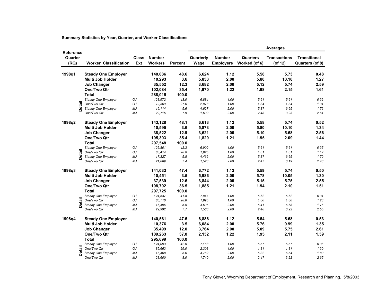|                                     |               |                              |                     |                                 |                |                   |                                   |                           | <b>Averages</b>                |                                        |
|-------------------------------------|---------------|------------------------------|---------------------|---------------------------------|----------------|-------------------|-----------------------------------|---------------------------|--------------------------------|----------------------------------------|
| <b>Reference</b><br>Quarter<br>(RQ) |               | <b>Worker Classification</b> | <b>Class</b><br>Ext | <b>Number</b><br><b>Workers</b> | <b>Percent</b> | Quarterly<br>Wage | <b>Number</b><br><b>Employers</b> | Quarters<br>Worked (of 6) | <b>Transactions</b><br>(of 12) | <b>Transitional</b><br>Quarters (of 8) |
| 1998q1                              |               | <b>Steady One Employer</b>   |                     | 140,086                         | 48.6           | 6,624             | 1.12                              | 5.58                      | 5.73                           | 0.48                                   |
|                                     |               | Multi Job Holder             |                     | 10,293                          | 3.6            | 5,833             | 2.00                              | 5.80                      | 10.10                          | 1.27                                   |
|                                     |               | <b>Job Changer</b>           |                     | 35,552                          | 12.3           | 3,682             | 2.00                              | 5.12                      | 5.74                           | 2.59                                   |
|                                     |               | One/Two Qtr                  |                     | 102,084                         | 35.4           | 1,970             | 1.22                              | 1.98                      | 2.15                           | 1.61                                   |
|                                     |               | <b>Total</b>                 |                     | 288,015                         | 100.0          |                   |                                   |                           |                                |                                        |
|                                     |               | Steady One Employer          | OJ                  | 123,972                         | 43.0           | 6,884             | 1.00                              | 5.61                      | 5.61                           | 0.32                                   |
|                                     | <b>Detail</b> | One/Two Qtr                  | OJ                  | 79,369                          | 27.6           | 2,078             | 1.00                              | 1.84                      | 1.84                           | 1.31                                   |
|                                     |               | Steady One Employer          | MJ                  | 16,114                          | 5.6            | 4,627             | 2.00                              | 5.37                      | 6.65                           | 1.76                                   |
|                                     |               | One/Two Qtr                  | MJ                  | 22,715                          | 7.9            | 1,690             | 2.00                              | 2.48                      | 3.23                           | 2.64                                   |
| 1998q2                              |               | <b>Steady One Employer</b>   |                     | 143,128                         | 48.1           | 6,613             | 1.12                              | 5.58                      | 5.74                           | 0.52                                   |
|                                     |               | Multi Job Holder             |                     | 10,595                          | 3.6            | 5,873             | 2.00                              | 5.80                      | 10.10                          | 1.34                                   |
|                                     |               | <b>Job Changer</b>           |                     | 38,522                          | 12.9           | 3,621             | 2.00                              | 5.10                      | 5.68                           | 2.56                                   |
|                                     |               | One/Two Qtr                  |                     | 105,303                         | 35.4           | 1,820             | 1.21                              | 1.95                      | 2.09                           | 1.44                                   |
|                                     |               | <b>Total</b>                 |                     | 297,548                         | 100.0          |                   |                                   |                           |                                |                                        |
|                                     |               | Steady One Employer          | OJ                  | 125,801                         | 42.3           | 6,909             | 1.00                              | 5.61                      | 5.61                           | 0.35                                   |
|                                     | <b>Detail</b> | One/Two Qtr                  | OJ                  | 83,414                          | 28.0           | 1,925             | 1.00                              | 1.81                      | 1.81                           | 1.17                                   |
|                                     |               | Steady One Employer          | MJ                  | 17,327                          | 5.8            | 4,462             | 2.00                              | 5.37                      | 6.65                           | 1.79                                   |
|                                     |               | One/Two Qtr                  | MJ                  | 21,889                          | 7.4            | 1,528             | 2.00                              | 2.47                      | 3.19                           | 2.48                                   |
| 1998q3                              |               | <b>Steady One Employer</b>   |                     | 141,033                         | 47.4           | 6,772             | 1.12                              | 5.59                      | 5.74                           | 0.50                                   |
|                                     |               | Multi Job Holder             |                     | 10,451                          | 3.5            | 5,986             | 2.00                              | 5.78                      | 10.05                          | 1.30                                   |
|                                     |               | <b>Job Changer</b>           |                     | 37,539                          | 12.6           | 3,844             | 2.00                              | 5.15                      | 5.75                           | 2.55                                   |
|                                     |               | One/Two Qtr                  |                     | 108,702                         | 36.5           | 1,885             | 1.21                              | 1.94                      | 2.10                           | 1.51                                   |
|                                     |               | <b>Total</b>                 |                     | 297,725                         | 100.0          |                   |                                   |                           |                                |                                        |
|                                     |               | Steady One Employer          | OJ                  | 124,537                         | 41.8           | 7.047             | 1.00                              | 5.62                      | 5.62                           | 0.34                                   |
|                                     | <b>Detail</b> | One/Two Qtr                  | OJ                  | 85,710                          | 28.8           | 1,995             | 1.00                              | 1.80                      | 1.80                           | 1.23                                   |
|                                     |               | Steady One Employer          | MJ                  | 16,496                          | 5.5            | 4,695             | 2.00                              | 5.41                      | 6.68                           | 1.76                                   |
|                                     |               | One/Two Qtr                  | MJ                  | 22,992                          | 7.7            | 1,586             | 2.00                              | 2.46                      | 3.22                           | 2.55                                   |
| 1998q4                              |               | <b>Steady One Employer</b>   |                     | 140,561                         | 47.5           | 6,886             | 1.12                              | 5.54                      | 5.68                           | 0.53                                   |
|                                     |               | Multi Job Holder             |                     | 10,376                          | 3.5            | 6,084             | 2.00                              | 5.76                      | 9.99                           | 1.35                                   |
|                                     |               | <b>Job Changer</b>           |                     | 35,499                          | 12.0           | 3,764             | 2.00                              | 5.09                      | 5.75                           | 2.61                                   |
|                                     |               | One/Two Qtr                  |                     | 109,263                         | 37.0           | 2,152             | 1.22                              | 1.95                      | 2.11                           | 1.59                                   |
|                                     |               | <b>Total</b>                 |                     | 295,699                         | 100.0          |                   |                                   |                           |                                |                                        |
|                                     |               | Steady One Employer          | OJ                  | 124,093                         | 42.0           | 7,168             | 1.00                              | 5.57                      | 5.57                           | 0.36                                   |
|                                     | <b>Detail</b> | One/Two Qtr                  | OJ                  | 85,663                          | 29.0           | 2,308             | 1.00                              | 1.81                      | 1.81                           | 1.30                                   |
|                                     |               | Steady One Employer          | MJ                  | 16,468                          | 5.6            | 4,762             | 2.00                              | 5.32                      | 6.54                           | 1.80                                   |
|                                     |               | One/Two Qtr                  | MJ                  | 23,600                          | 8.0            | 1,740             | 2.00                              | 2.47                      | 3.22                           | 2.65                                   |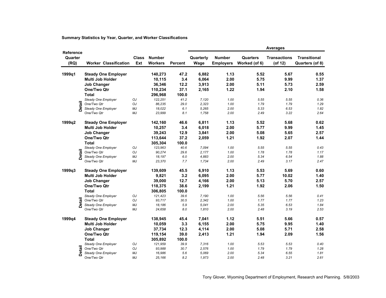| <b>Reference</b><br>Quarter<br>(RQ) |               |                                    |                     |                                 | <b>Averages</b> |                   |                                   |                           |                                |                                        |  |
|-------------------------------------|---------------|------------------------------------|---------------------|---------------------------------|-----------------|-------------------|-----------------------------------|---------------------------|--------------------------------|----------------------------------------|--|
|                                     |               | <b>Worker Classification</b>       | <b>Class</b><br>Ext | <b>Number</b><br><b>Workers</b> | <b>Percent</b>  | Quarterly<br>Wage | <b>Number</b><br><b>Employers</b> | Quarters<br>Worked (of 6) | <b>Transactions</b><br>(of 12) | <b>Transitional</b><br>Quarters (of 8) |  |
| 1999q1                              |               | <b>Steady One Employer</b>         |                     | 140,273                         | 47.2            | 6,882             | 1.13                              | 5.52                      | 5.67                           | 0.55                                   |  |
|                                     |               | Multi Job Holder                   |                     | 10,115                          | 3.4             | 6,064             | 2.00                              | 5.75                      | 9.99                           | 1.37                                   |  |
|                                     |               | <b>Job Changer</b>                 |                     | 36,346                          | 12.2            | 3,913             | 2.00                              | 5.11                      | 5.73                           | 2.59                                   |  |
|                                     |               | One/Two Qtr                        |                     | 110,234                         | 37.1            | 2,165             | 1.22                              | 1.94                      | 2.10                           | 1.58                                   |  |
|                                     |               | <b>Total</b>                       |                     | 296,968                         | 100.0           |                   |                                   |                           |                                |                                        |  |
|                                     |               | Steady One Employer                | OJ                  | 122,251                         | 41.2            | 7,120             | 1.00                              | 5.55                      | 5.55                           | 0.36                                   |  |
|                                     |               | One/Two Qtr                        | OJ                  | 86,235                          | 29.0            | 2,323             | 1.00                              | 1.79                      | 1.79                           | 1.29                                   |  |
|                                     | <b>Detail</b> | Steady One Employer                | MJ                  | 18,022                          | 6.1             | 5,265             | 2.00                              | 5.33                      | 6.53                           | 1.82                                   |  |
|                                     |               | One/Two Qtr                        | MJ                  | 23,999                          | 8.1             | 1,758             | 2.00                              | 2.49                      | 3.22                           | 2.64                                   |  |
| 1999q2                              |               | <b>Steady One Employer</b>         |                     | 142,160                         | 46.6            | 6,811             | 1.13                              | 5.52                      | 5.68                           | 0.62                                   |  |
|                                     |               | Multi Job Holder                   |                     | 10,257                          | 3.4             | 6,018             | 2.00                              | 5.77                      | 9.99                           | 1.45                                   |  |
|                                     |               | <b>Job Changer</b>                 |                     | 39,243                          | 12.9            | 3,841             | 2.00                              | 5.08                      | 5.65                           | 2.57                                   |  |
|                                     |               | One/Two Qtr                        |                     | 113,644                         | 37.2            | 2,059             | 1.21                              | 1.92                      | 2.07                           | 1.44                                   |  |
|                                     |               |                                    |                     |                                 |                 |                   |                                   |                           |                                |                                        |  |
|                                     |               | <b>Total</b>                       |                     | 305,304                         | 100.0           |                   |                                   |                           |                                |                                        |  |
|                                     |               | Steady One Employer<br>One/Two Qtr | OJ<br>OJ            | 123,963<br>90,274               | 40.6<br>29.6    | 7,094<br>2,177    | 1.00<br>1.00                      | 5.55<br>1.78              | 5.55<br>1.78                   | 0.43<br>1.17                           |  |
|                                     | <b>Detail</b> | Steady One Employer                | MJ                  | 18,197                          | $6.0$           | 4,883             | 2.00                              | 5.34                      | 6.54                           | 1.88                                   |  |
|                                     |               | One/Two Qtr                        | MJ                  | 23,370                          | 7.7             | 1,734             | 2.00                              | 2.49                      | 3.17                           | 2.47                                   |  |
|                                     |               |                                    |                     |                                 | 45.5            |                   | 1.13                              | 5.53                      | 5.69                           | 0.60                                   |  |
| 1999q3                              |               | <b>Steady One Employer</b>         |                     | 139,609                         |                 | 6,910             |                                   |                           |                                |                                        |  |
|                                     |               | Multi Job Holder                   |                     | 9,821                           | 3.2             | 6,095             | 2.00                              | 5.77                      | 10.02                          | 1.40                                   |  |
|                                     |               | <b>Job Changer</b>                 |                     | 39,000                          | 12.7            | 4,166             | 2.00                              | 5.13                      | 5.70                           | 2.57                                   |  |
|                                     |               | One/Two Qtr                        |                     | 118,375                         | 38.6            | 2,199             | 1.21                              | 1.92                      | 2.06                           | 1.50                                   |  |
|                                     |               | <b>Total</b>                       |                     | 306,805                         | 100.0           |                   |                                   |                           |                                |                                        |  |
|                                     |               | Steady One Employer                | OJ                  | 121,423                         | 39.6            | 7,190             | 1.00                              | 5.56                      | 5.56                           | 0.41                                   |  |
|                                     |               | One/Two Qtr                        | OJ                  | 93,717                          | 30.5            | 2,342             | 1.00                              | 1.77                      | 1.77                           | 1.23                                   |  |
|                                     | <b>Detail</b> | Steady One Employer                | MJ                  | 18,186                          | 5.9             | 5.041             | 2.00                              | 5.35                      | 6.53                           | 1.84                                   |  |
|                                     |               | One/Two Qtr                        | MJ                  | 24,658                          | 8.0             | 1,810             | 2.00                              | 2.48                      | 3.19                           | 2.53                                   |  |
| 1999q4                              |               | <b>Steady One Employer</b>         |                     | 138,945                         | 45.4            | 7,041             | 1.12                              | 5.51                      | 5.66                           | 0.57                                   |  |
|                                     |               | Multi Job Holder                   |                     | 10,059                          | 3.3             | 6,155             | 2.00                              | 5.75                      | 9.95                           | 1.40                                   |  |
|                                     |               | <b>Job Changer</b>                 |                     | 37,734                          | 12.3            | 4,114             | 2.00                              | 5.08                      | 5.71                           | 2.58                                   |  |
|                                     |               | One/Two Qtr                        |                     | 119,154                         | 39.0            | 2,413             | 1.21                              | 1.94                      | 2.09                           | 1.56                                   |  |
|                                     |               | <b>Total</b>                       |                     | 305,892                         | 100.0           |                   |                                   |                           |                                |                                        |  |
|                                     |               | Steady One Employer                | OJ                  | 121,959                         | 39.9            | 7,316             | 1.00                              | 5.53                      | 5.53                           | 0.40                                   |  |
|                                     | <b>Detail</b> | One/Two Qtr                        | OJ                  | 93,988                          | 30.7            | 2,576             | 1.00                              | 1.79                      | 1.79                           | 1.28                                   |  |
|                                     |               | Steady One Employer                | MJ                  | 16,986                          | 5.6             | 5.069             | 2.00                              | 5.34                      | 6.55                           | 1.81                                   |  |
|                                     |               | One/Two Qtr                        | MJ                  | 25,166                          | 8.2             | 1,973             | 2.00                              | 2.48                      | 3.21                           | 2.61                                   |  |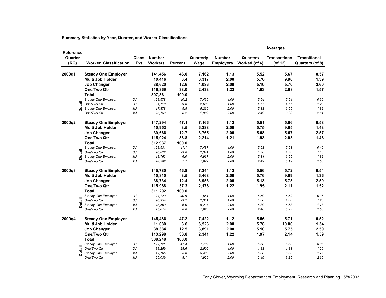| <b>Reference</b><br>Quarter<br>(RQ) |               |                              |                     | <b>Number</b><br><b>Workers</b> | <b>Percent</b> | <b>Averages</b>   |                                   |                           |                                |                                        |  |  |
|-------------------------------------|---------------|------------------------------|---------------------|---------------------------------|----------------|-------------------|-----------------------------------|---------------------------|--------------------------------|----------------------------------------|--|--|
|                                     |               | <b>Worker Classification</b> | <b>Class</b><br>Ext |                                 |                | Quarterly<br>Wage | <b>Number</b><br><b>Employers</b> | Quarters<br>Worked (of 6) | <b>Transactions</b><br>(of 12) | <b>Transitional</b><br>Quarters (of 8) |  |  |
| 2000q1                              |               | <b>Steady One Employer</b>   |                     | 141,456                         | 46.0           | 7,162             | 1.13                              | 5.52                      | 5.67                           | 0.57                                   |  |  |
|                                     |               | Multi Job Holder             |                     | 10,416                          | 3.4            | 6,317             | 2.00                              | 5.76                      | 9.96                           | 1.39                                   |  |  |
|                                     |               | <b>Job Changer</b>           |                     | 38,620                          | 12.6           | 4,086             | 2.00                              | 5.10                      | 5.70                           | 2.60                                   |  |  |
|                                     |               | One/Two Qtr                  |                     | 116,869                         | 38.0           | 2,433             | 1.22                              | 1.93                      | 2.08                           | 1.57                                   |  |  |
|                                     |               | <b>Total</b>                 |                     | 307,361                         | 100.0          |                   |                                   |                           |                                |                                        |  |  |
|                                     |               | Steady One Employer          | OJ                  | 123,578                         | 40.2           | 7,436             | 1.00                              | 5.54                      | 5.54                           | 0.39                                   |  |  |
|                                     | <b>Detail</b> | One/Two Otr                  | OJ                  | 91,710                          | 29.8           | 2,606             | 1.00                              | 1.77                      | 1.77                           | 1.28                                   |  |  |
|                                     |               | Steady One Employer          | MJ                  | 17,878                          | 5.8            | 5,269             | 2.00                              | 5.33                      | 6.55                           | 1.82                                   |  |  |
|                                     |               | One/Two Qtr                  | МJ                  | 25,159                          | 8.2            | 1,982             | 2.00                              | 2.49                      | 3.20                           | 2.61                                   |  |  |
|                                     |               |                              |                     |                                 |                |                   |                                   |                           |                                |                                        |  |  |
| 2000q2                              |               | <b>Steady One Employer</b>   |                     | 147,294                         | 47.1           | 7,166             | 1.13                              | 5.51                      | 5.66                           | 0.58                                   |  |  |
|                                     |               | Multi Job Holder             |                     | 10,953                          | 3.5            | 6,388             | 2.00                              | 5.75                      | 9.95                           | 1.43                                   |  |  |
|                                     |               | <b>Job Changer</b>           |                     | 39,666                          | 12.7           | 3,765             | 2.00                              | 5.08                      | 5.67                           | 2.57                                   |  |  |
|                                     |               | One/Two Qtr                  |                     | 115,024                         | 36.8           | 2,214             | 1.21                              | 1.93                      | 2.08                           | 1.46                                   |  |  |
|                                     |               | <b>Total</b>                 |                     | 312,937                         | 100.0          |                   |                                   |                           |                                |                                        |  |  |
|                                     |               | Steady One Employer          | OJ                  | 128,531                         | 41.1           | 7,487             | 1.00                              | 5.53                      | 5.53                           | 0.40                                   |  |  |
|                                     | <b>Detail</b> | One/Two Qtr                  | OJ                  | 90,822                          | 29.0           | 2,341             | 1.00                              | 1.78                      | 1.78                           | 1.18                                   |  |  |
|                                     |               | Steady One Employer          | MJ                  | 18,763                          | 6.0            | 4,967             | 2.00                              | 5.31                      | 6.55                           | 1.82                                   |  |  |
|                                     |               | One/Two Qtr                  | MJ                  | 24,202                          | 7.7            | 1,872             | 2.00                              | 2.49                      | 3.19                           | 2.50                                   |  |  |
| 2000q3                              |               | <b>Steady One Employer</b>   |                     | 145,780                         | 46.8           | 7,344             | 1.13                              | 5.56                      | 5.72                           | 0.54                                   |  |  |
|                                     |               | <b>Multi Job Holder</b>      |                     | 10,810                          | 3.5            | 6,468             | 2.00                              | 5.76                      | 9.99                           | 1.36                                   |  |  |
|                                     |               | <b>Job Changer</b>           |                     | 38,734                          | 12.4           | 3,953             | 2.00                              | 5.13                      | 5.75                           | 2.59                                   |  |  |
|                                     |               | One/Two Qtr                  |                     | 115,968                         | 37.3           | 2,176             | 1.22                              | 1.95                      | 2.11                           | 1.52                                   |  |  |
|                                     |               | <b>Total</b>                 |                     | 311,292                         | 100.0          |                   |                                   |                           |                                |                                        |  |  |
|                                     |               | Steady One Employer          | OJ                  | 127,220                         | 40.9           | 7,651             | 1.00                              | 5.59                      | 5.59                           | 0.36                                   |  |  |
|                                     | <b>Detail</b> | One/Two Qtr                  | OJ                  | 90,954                          | 29.2           | 2,311             | 1.00                              | 1.80                      | 1.80                           | 1.23                                   |  |  |
|                                     |               | Steady One Employer          | MJ                  | 18,560                          | 6.0            | 5,237             | 2.00                              | 5.39                      | 6.63                           | 1.78                                   |  |  |
|                                     |               | One/Two Qtr                  | MJ                  | 25,014                          | 8.0            | 1,820             | 2.00                              | 2.48                      | 3.23                           | 2.58                                   |  |  |
| 2000q4                              |               | <b>Steady One Employer</b>   |                     | 145,486                         | 47.2           | 7,422             | 1.12                              | 5.56                      | 5.71                           | 0.52                                   |  |  |
|                                     |               | <b>Multi Job Holder</b>      |                     | 11,080                          | 3.6            | 6,523             | 2.00                              | 5.78                      | 10.00                          | 1.34                                   |  |  |
|                                     |               | <b>Job Changer</b>           |                     | 38,384                          | 12.5           | 3,891             | 2.00                              | 5.10                      | 5.75                           | 2.59                                   |  |  |
|                                     |               | One/Two Qtr                  |                     | 113,298                         | 36.8           | 2,341             | 1.22                              | 1.97                      | 2.14                           | 1.59                                   |  |  |
|                                     |               | <b>Total</b>                 |                     | 308,248                         | 100.0          |                   |                                   |                           |                                |                                        |  |  |
|                                     |               | Steady One Employer          | OJ                  | 127,721                         | 41.4           | 7,702             | 1.00                              | 5.58                      | 5.58                           | 0.35                                   |  |  |
|                                     | Detail        | One/Two Qtr                  | OJ                  | 88,259                          | 28.6           | 2,500             | 1.00                              | 1.83                      | 1.83                           | 1.29                                   |  |  |
|                                     |               | Steady One Employer          | MJ                  | 17,765                          | 5.8            | 5,408             | 2.00                              | 5.38                      | 6.63                           | 1.77                                   |  |  |
|                                     |               | One/Two Qtr                  | MJ                  | 25,039                          | 8.1            | 1,929             | 2.00                              | 2.49                      | 3.25                           | 2.65                                   |  |  |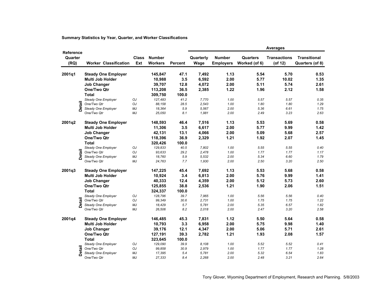| <b>Reference</b><br>Quarter<br>(RQ) |               |                                    |                     |                                 | <b>Averages</b> |                   |                                   |                           |                                |                                        |  |
|-------------------------------------|---------------|------------------------------------|---------------------|---------------------------------|-----------------|-------------------|-----------------------------------|---------------------------|--------------------------------|----------------------------------------|--|
|                                     |               | <b>Worker Classification</b>       | <b>Class</b><br>Ext | <b>Number</b><br><b>Workers</b> | <b>Percent</b>  | Quarterly<br>Wage | <b>Number</b><br><b>Employers</b> | Quarters<br>Worked (of 6) | <b>Transactions</b><br>(of 12) | <b>Transitional</b><br>Quarters (of 8) |  |
| 2001q1                              |               | <b>Steady One Employer</b>         |                     | 145,847                         | 47.1            | 7,492             | 1.13                              | 5.54                      | 5.70                           | 0.53                                   |  |
|                                     |               | Multi Job Holder                   |                     | 10,988                          | 3.5             | 6,592             | 2.00                              | 5.77                      | 10.02                          | 1.35                                   |  |
|                                     |               | <b>Job Changer</b>                 |                     | 39,707                          | 12.8            | 4,072             | 2.00                              | 5.11                      | 5.74                           | 2.61                                   |  |
|                                     |               | One/Two Qtr                        |                     | 113,208                         | 36.5            | 2,385             | 1.22                              | 1.96                      | 2.12                           | 1.58                                   |  |
|                                     |               | <b>Total</b>                       |                     | 309,750                         | 100.0           |                   |                                   |                           |                                |                                        |  |
|                                     |               | Steady One Employer                | OJ                  | 127,483                         | 41.2            | 7,770             | 1.00                              | 5.57                      | 5.57                           | 0.35                                   |  |
|                                     | <b>Detail</b> | One/Two Otr                        | OJ                  | 88,158                          | 28.5            | 2,543             | 1.00                              | 1.80                      | 1.80                           | 1.29                                   |  |
|                                     |               | Steady One Employer                | MJ                  | 18,364                          | 5.9             | 5,567             | 2.00                              | 5.36                      | 6.61                           | 1.75                                   |  |
|                                     |               | One/Two Qtr                        | МJ                  | 25,050                          | 8.1             | 1,981             | 2.00                              | 2.49                      | 3.23                           | 2.63                                   |  |
| 2001q2                              |               | <b>Steady One Employer</b>         |                     | 148,593                         | 46.4            | 7,516             | 1.13                              | 5.53                      | 5.69                           | 0.58                                   |  |
|                                     |               | Multi Job Holder                   |                     | 11,306                          | 3.5             | 6,617             | 2.00                              | 5.77                      | 9.99                           | 1.42                                   |  |
|                                     |               | <b>Job Changer</b>                 |                     | 42,131                          | 13.1            |                   | 2.00                              | 5.09                      | 5.68                           | 2.57                                   |  |
|                                     |               |                                    |                     |                                 |                 | 4,066             |                                   |                           |                                |                                        |  |
|                                     |               | One/Two Qtr                        |                     | 118,396                         | 36.9            | 2,329             | 1.21                              | 1.92                      | 2.07                           | 1.45                                   |  |
|                                     |               | <b>Total</b>                       |                     | 320,426                         | 100.0           |                   |                                   |                           |                                |                                        |  |
|                                     |               | Steady One Employer                | OJ                  | 129,833                         | 40.5            | 7,802             | 1.00                              | 5.55                      | 5.55                           | 0.40                                   |  |
|                                     | <b>Detail</b> | One/Two Qtr                        | OJ                  | 93,633                          | 29.2            | 2,478             | 1.00                              | 1.77                      | 1.77                           | 1.17                                   |  |
|                                     |               | Steady One Employer<br>One/Two Qtr | MJ<br>MJ            | 18,760<br>24,763                | 5.9<br>7.7      | 5.532<br>1,930    | 2.00<br>2.00                      | 5.34<br>2.50              | 6.60<br>3.20                   | 1.79<br>2.50                           |  |
|                                     |               |                                    |                     |                                 |                 |                   |                                   |                           |                                |                                        |  |
| 2001q3                              |               | <b>Steady One Employer</b>         |                     | 147,225                         | 45.4            | 7,692             | 1.13                              | 5.53                      | 5.68                           | 0.58                                   |  |
|                                     |               | <b>Multi Job Holder</b>            |                     | 10,924                          | 3.4             | 6,813             | 2.00                              | 5.76                      | 9.99                           | 1.41                                   |  |
|                                     |               | <b>Job Changer</b>                 |                     | 40,333                          | 12.4            | 4,359             | 2.00                              | 5.12                      | 5.73                           | 2.60                                   |  |
|                                     |               | One/Two Qtr                        |                     | 125,855                         | 38.8            | 2,536             | 1.21                              | 1.90                      | 2.06                           | 1.51                                   |  |
|                                     |               | <b>Total</b>                       |                     | 324,337                         | 100.0           |                   |                                   |                           |                                |                                        |  |
|                                     |               | Steady One Employer                | OJ                  | 128,796                         | 39.7            | 7,965             | 1.00                              | 5.56                      | 5.56                           | 0.40                                   |  |
|                                     |               | One/Two Qtr                        | OJ                  | 99,349                          | 30.6            | 2,731             | 1.00                              | 1.75                      | 1.75                           | 1.22                                   |  |
|                                     | <b>Detail</b> | Steady One Employer                | MJ                  | 18,429                          | 5.7             | 5,781             | 2.00                              | 5.35                      | 6.57                           | 1.82                                   |  |
|                                     |               | One/Two Qtr                        | MJ                  | 26,506                          | 8.2             | 2,018             | 2.00                              | 2.47                      | 3.20                           | 2.58                                   |  |
| 2001q4                              |               | <b>Steady One Employer</b>         |                     | 146,485                         | 45.3            | 7,831             | 1.12                              | 5.50                      | 5.64                           | 0.58                                   |  |
|                                     |               | <b>Multi Job Holder</b>            |                     | 10,793                          | 3.3             | 6,958             | 2.00                              | 5.75                      | 9.98                           | 1.40                                   |  |
|                                     |               | <b>Job Changer</b>                 |                     | 39,176                          | 12.1            | 4,347             | 2.00                              | 5.06                      | 5.71                           | 2.61                                   |  |
|                                     |               | One/Two Qtr                        |                     | 127,191                         | 39.3            | 2,782             | 1.21                              | 1.93                      | 2.08                           | 1.57                                   |  |
|                                     |               | <b>Total</b>                       |                     | 323,645                         | 100.0           |                   |                                   |                           |                                |                                        |  |
|                                     |               | Steady One Employer                | OJ                  | 129,090                         | 39.9            | 8.108             | 1.00                              | 5.52                      | 5.52                           | 0.41                                   |  |
|                                     | Detail        | One/Two Qtr                        | OJ                  | 99,858                          | 30.9            | 2,979             | 1.00                              | 1.77                      | 1.77                           | 1.28                                   |  |
|                                     |               | Steady One Employer                | MJ                  | 17,395                          | 5.4             | 5,781             | 2.00                              | 5.32                      | 6.54                           | 1.83                                   |  |
|                                     |               | One/Two Qtr                        | MJ                  | 27,333                          | 8.4             | 2,268             | 2.00                              | 2.48                      | 3.21                           | 2.64                                   |  |